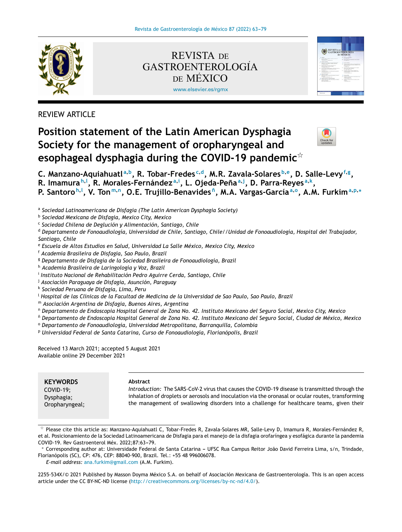

[www.elsevier.es/rgmx](http://www.elsevier.es/rgmx) REVISTA DE DE MÉXICO GASTROENTEROLOGIA´



REVIEW ARTICLE

# **Position statement of the Latin American Dysphagia Society for the management of oropharyngeal and esophageal dysphagia during the COVID-19 pandemic**-



C. Manzano-Aquiahuatl<sup>a,b</sup>, R. Tobar-Fredes<sup>c,d</sup>, M.R. Zavala-Solares<sup>b,e</sup>, D. Salle-Levy<sup>f,g</sup>, R. Imamura<sup>h, I</sup>, R. Morales-Fernández<sup>a, i</sup>, L. Ojeda-Peña<sup>a, j</sup>, D. Parra-Reyes<sup>a, k</sup>, P. Santoro<sup>h, I</sup>, V. Ton<sup>m,n</sup>, O.E. Trujillo-Benavides<sup>ñ</sup>, M.A. Vargas-García<sup>a,o</sup>, A.M. Furkim<sup>a,p,</sup>\*

a *Sociedad Latinoamericana de Disfagia (The Latin American Dysphagia Society)*

b *Sociedad Mexicana de Disfagia, Mexico City, Mexico*

c *Sociedad Chilena de Deglución y Alimentación, Santiago, Chile*

<sup>d</sup> *Departamento de Fonoaudiología, Universidad de Chile, Santiago, Chile//Unidad de Fonoaudiología, Hospital del Trabajador, Santiago, Chile*

<sup>e</sup> *Escuela de Altos Estudios en Salud, Universidad La Salle México, Mexico City, Mexico*

<sup>f</sup> *Academia Brasileira de Disfagia, Sao Paulo, Brazil*

<sup>g</sup> *Departamento de Disfagia de la Sociedad Brasileira de Fonoaudiología, Brazil*

<sup>h</sup> *Academia Brasileira de Laringología y Voz, Brazil*

i *Instituto Nacional de Rehabilitación Pedro Aguirre Cerda, Santiago, Chile*

<sup>j</sup> *Asociación Paraguaya de Disfagia, Asunción, Paraguay*

k *Sociedad Peruana de Disfagia, Lima, Peru*

<sup>l</sup> Hospital de las Clínicas de la Facultad de Medicina de la Universidad de Sao Paulo, Sao Paulo, Brazil

<sup>m</sup> *Asociación Argentina de Disfagia, Buenos Aires, Argentina*

<sup>n</sup> Departamento de Endoscopia Hospital General de Zona No. 42. Instituto Mexicano del Seguro Social, Mexico City, Mexico

<sup>ñ</sup> Departamento de Endoscopia Hospital General de Zona No. 42. Instituto Mexicano del Seguro Social, Ciudad de México, Mexico

<sup>o</sup> *Departamento de Fonoaudiología, Universidad Metropolitana, Barranquilla, Colombia*

<sup>p</sup> *Universidad Federal de Santa Catarina, Curso de Fonoaudiología, Florianópolis, Brazil*

Received 13 March 2021; accepted 5 August 2021 Available online 29 December 2021

**KEYWORDS** COVID-19; Dysphagia;

Oropharyngeal;

#### **Abstract**

*Introduction:* The SARS-CoV-2 virus that causes the COVID-19 disease is transmitted through the inhalation of droplets or aerosols and inoculation via the oronasal or ocular routes, transforming the management of swallowing disorders into a challenge for healthcare teams, given their

*E-mail address:* [ana.furkim@gmail.com](mailto:ana.furkim@gmail.com) (A.M. Furkim).

2255-534X/© 2021 Published by Masson Doyma México S.A. on behalf of Asociación Mexicana de Gastroenterología. This is an open access article under the CC BY-NC-ND license (<http://creativecommons.org/licenses/by-nc-nd/4.0/>).

 $^\star$  Please cite this article as: Manzano-Aquiahuatl C, Tobar-Fredes R, Zavala-Solares MR, Salle-Levy D, Imamura R, Morales-Fernández R, et al. Posicionamiento de la Sociedad Latinoamericana de Disfagia para el manejo de la disfagia orofaríngea y esofágica durante la pandemia COVID-19. Rev Gastroenterol Méx. 2022;87:63-79.

<sup>\*</sup> Corresponding author at: Universidade Federal de Santa Catarina - UFSC Rua Campus Reitor João David Ferreira Lima, s/n, Trindade, Florianópolis (SC), CP: 476, CEP: 88040-900, Brazil. Tel.: +55 48 996006078.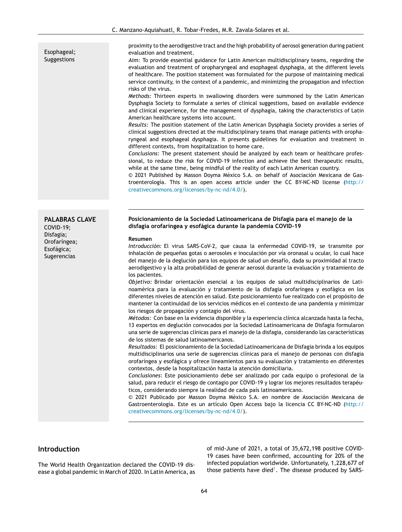Esophageal; Suggestions

**PALABRAS CLAVE**

COVID-19; Disfagia; Orofaríngea; Esofágica; Sugerencias

proximity to the aerodigestive tract and the high probability of aerosol generation during patient evaluation and treatment.

*Aim:* To provide essential guidance for Latin American multidisciplinary teams, regarding the evaluation and treatment of oropharyngeal and esophageal dysphagia, at the different levels of healthcare. The position statement was formulated for the purpose of maintaining medical service continuity, in the context of a pandemic, and minimizing the propagation and infection risks of the virus.

*Methods:* Thirteen experts in swallowing disorders were summoned by the Latin American Dysphagia Society to formulate a series of clinical suggestions, based on available evidence and clinical experience, for the management of dysphagia, taking the characteristics of Latin American healthcare systems into account.

*Results:* The position statement of the Latin American Dysphagia Society provides a series of clinical suggestions directed at the multidisciplinary teams that manage patients with oropharyngeal and esophageal dysphagia. It presents guidelines for evaluation and treatment in different contexts, from hospitalization to home care.

*Conclusions:* The present statement should be analyzed by each team or healthcare professional, to reduce the risk for COVID-19 infection and achieve the best therapeutic results, while at the same time, being mindful of the reality of each Latin American country.

 $\odot$  2021 Published by Masson Doyma México S.A. on behalf of Asociación Mexicana de Gastroenterología. This is an open access article under the CC BY-NC-ND license ([http://](http://creativecommons.org/licenses/by-nc-nd/4.0/) [creativecommons.org/licenses/by-nc-nd/4.0/\)](http://creativecommons.org/licenses/by-nc-nd/4.0/).

#### **Posicionamiento de la Sociedad Latinoamericana de Disfagia para el manejo de la disfagia orofaríngea y esofágica durante la pandemia COVID-19**

#### **Resumen**

*Introducción:* El virus SARS-CoV-2, que causa la enfermedad COVID-19, se transmite por inhalación de pequeñas gotas o aerosoles e inoculación por vía oronasal u ocular, lo cual hace del manejo de la deglución para los equipos de salud un desafío, dada su proximidad al tracto aerodigestivo y la alta probabilidad de generar aerosol durante la evaluación y tratamiento de los pacientes.

*Objetivo:* Brindar orientación esencial a los equipos de salud multidisciplinarios de Latinoamérica para la evaluación y tratamiento de la disfagia orofaríngea y esofágica en los diferentes niveles de atención en salud. Este posicionamiento fue realizado con el propósito de mantener la continuidad de los servicios médicos en el contexto de una pandemia y minimizar los riesgos de propagación y contagio del virus.

*Métodos:* Con base en la evidencia disponible y la experiencia clínica alcanzada hasta la fecha, 13 expertos en deglución convocados por la Sociedad Latinoamericana de Disfagia formularon una serie de sugerencias clínicas para el manejo de la disfagia, considerando las características de los sistemas de salud latinoamericanos.

*Resultados:* El posicionamiento de la Sociedad Latinoamericana de Disfagia brinda a los equipos multidisciplinarios una serie de sugerencias clínicas para el manejo de personas con disfagia orofaríngea y esofágica y ofrece lineamientos para su evaluación y tratamiento en diferentes contextos, desde la hospitalización hasta la atención domiciliaria.

*Conclusiones:* Este posicionamiento debe ser analizado por cada equipo o profesional de la salud, para reducir el riesgo de contagio por COVID-19 y lograr los mejores resultados terapéuticos, considerando siempre la realidad de cada país latinoamericano.

 $© 2021$  Publicado por Masson Doyma México S.A. en nombre de Asociación Mexicana de Gastroenterología. Este es un artículo Open Access bajo la licencia CC BY-NC-ND ([http://](http://creativecommons.org/licenses/by-nc-nd/4.0/) [creativecommons.org/licenses/by-nc-nd/4.0/\)](http://creativecommons.org/licenses/by-nc-nd/4.0/).

# **Introduction**

The World Health Organization declared the COVID-19 disease a global pandemic in March of 2020. In Latin America, as of mid-June of 2021, a total of 35,672,198 positive COVID-19 cases have been confirmed, accounting for 20% of the infected population worldwide. Unfortunately, 1,228,677 of those patients have died<sup>1</sup>[.](#page-14-0) The disease produced by SARS-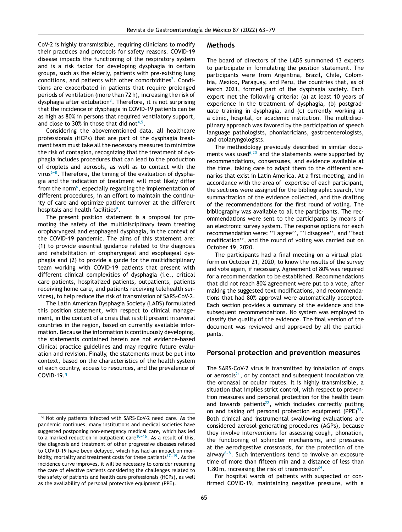CoV-2 is highly transmissible, requiring clinicians to modify their practices and protocols for safety reasons. COVID-19 disease impacts the functioning of the respiratory system and is a risk factor for developing dysphagia in certain groups, such as the elderly, patients with pre-existing lung conditions, and patients with other comorbidities<sup>2</sup>[.](#page-14-0) Conditions are exacerbated in patients that require prolonged periods of ventilation (more than 72 h), increasing the risk of dysphagia after extubation<sup>3</sup>[.](#page-14-0) Therefore, it is not surprising that the incidence of dysphagia in COVID-19 patients can be as high as 80% in persons that required ventilatory support, and close to 30% in those that did not $4,5$ .

Considering the abovementioned data, all healthcare professionals (HCPs) that are part of the dysphagia treatment team must take all the necessary measures to minimize the risk of contagion, recognizing that the treatment of dysphagia includes procedures that can lead to the production of droplets and aerosols, as well as to contact with the virus<sup>6-8</sup>. Therefore, the timing of the evaluation of dysphagia and the indication of treatment will most likely differ from the norm $^6$ [,](#page-14-0) especially regarding the implementation of different procedures, in an effort to maintain the continuity of care and optimize patient turnover at the different hospitals and health facilities<sup>9</sup>[.](#page-14-0)

The present position statement is a proposal for promoting the safety of the multidisciplinary team treating oropharyngeal and esophageal dysphagia, in the context of the COVID-19 pandemic. The aims of this statement are: (1) to provide essential guidance related to the diagnosis and rehabilitation of oropharyngeal and esophageal dysphagia and (2) to provide a guide for the multidisciplinary team working with COVID-19 patients that present with different clinical complexities of dysphagia (i.e., critical care patients, hospitalized patients, outpatients, patients receiving home care, and patients receiving telehealth services), to help reduce the risk of transmission of SARS-CoV-2.

The Latin American Dysphagia Society (LADS) formulated this position statement, with respect to clinical management, in the context of a crisis that is still present in several countries in the region, based on currently available information. Because the information is continuously developing, the statements contained herein are not evidence-based clinical practice guidelines and may require future evaluation and revision. Finally, the statements must be put into context, based on the characteristics of the health system of each country, access to resources, and the prevalence of COVID-19.9

#### **Methods**

The board of directors of the LADS summoned 13 experts to participate in formulating the position statement. The participants were from Argentina, Brazil, Chile, Colombia, Mexico, Paraguay, and Peru, the countries that, as of March 2021, formed part of the dysphagia society. Each expert met the following criteria: (a) at least 10 years of experience in the treatment of dysphagia, (b) postgraduate training in dysphagia, and (c) currently working at a clinic, hospital, or academic institution. The multidisciplinary approach was favored by the participation of speech language pathologists, phoniatricians, gastroenterologists, and otolaryngologists.

The methodology previously described in similar docu-ments was used<sup>[6,20](#page-14-0)</sup> and the statements were supported by recommendations, consensuses, and evidence available at the time, taking care to adapt them to the different scenarios that exist in Latin America. At a first meeting, and in accordance with the area of expertise of each participant, the sections were assigned for the bibliographic search, the summarization of the evidence collected, and the drafting of the recommendations for the first round of voting. The bibliography was available to all the participants. The recommendations were sent to the participants by means of an electronic survey system. The response options for each recommendation were: ''I agree'', ''I disagree'', and ''text modification'', and the round of voting was carried out on October 19, 2020.

The participants had a final meeting on a virtual platform on October 21, 2020, to know the results of the survey and vote again, if necessary. Agreement of 80% was required for a recommendation to be established. Recommendations that did not reach 80% agreement were put to a vote, after making the suggested text modifications, and recommendations that had 80% approval were automatically accepted. Each section provides a summary of the evidence and the subsequent recommendations. No system was employed to classify the quality of the evidence. The final version of the document was reviewed and approved by all the participants.

# **Personal protection and prevention measures**

The SARS-CoV-2 virus is transmitted by inhalation of drops or aerosols $^{21}$  $^{21}$  $^{21}$ , or by contact and subsequent inoculation via the oronasal or ocular routes. It is highly transmissible, a situation that implies strict control, with respect to prevention measures and personal protection for the health team and towards patients $^{22}$  $^{22}$  $^{22}$ , which includes correctly putting on and taking off personal protection equipment (PPE) $^{23}$  $^{23}$  $^{23}$ . Both clinical and instrumental swallowing evaluations are considered aerosol-generating procedures (AGPs), because they involve interventions for assessing cough, phonation, the functioning of sphincter mechanisms, and pressures at the aerodigestive crossroads, for the protection of the  $airway^{6-8}$ . Such interventions tend to involve an exposure time of more than fifteen min and a distance of less than 1.80 m, increasing the risk of transmission $^{24}$  $^{24}$  $^{24}$ .

For hospital wards of patients with suspected or confirmed COVID-19, maintaining negative pressure, with a

<sup>q</sup> Not only patients infected with SARS-CoV-2 need care. As the pandemic continues, many institutions and medical societies have suggested postponing non-emergency medical care, which has led to a marked reduction in outpatient care<sup>10–16</sup>. As a result of this, the diagnosis and treatment of other progressive diseases related to COVID-19 have been delayed, which has had an impact on morbidity, mortality and treatment costs for these patients<sup>17–19</sup>. As the incidence curve improves, it will be necessary to consider resuming the care of elective patients considering the challenges related to the safety of patients and health care professionals (HCPs), as well as the availability of personal protective equipment (PPE).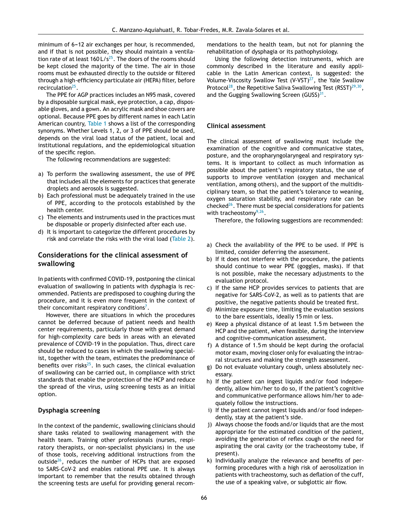minimum of 6-12 air exchanges per hour, is recommended, and if that is not possible, they should maintain a ventila-tion rate of at least 160 L/s<sup>[25](#page-14-0)</sup>. The doors of the rooms should be kept closed the majority of the time. The air in those rooms must be exhausted directly to the outside or filtered through a high-efficiency particulate air (HEPA) filter, before recirculation<sup>[25](#page-14-0)</sup>.

The PPE for AGP practices includes an N95 mask, covered by a disposable surgical mask, eye protection, a cap, disposable gloves, and a gown. An acrylic mask and shoe covers are optional. Because PPE goes by different names in each Latin American country, [Table](#page-4-0) 1 shows a list of the corresponding synonyms. Whether Levels 1, 2, or 3 of PPE should be used, depends on the viral load status of the patient, local and institutional regulations, and the epidemiological situation of the specific region.

The following recommendations are suggested:

- a) To perform the swallowing assessment, the use of PPE that includes all the elements for practices that generate droplets and aerosols is suggested.
- b) Each professional must be adequately trained in the use of PPE, according to the protocols established by the health center.
- c) The elements and instruments used in the practices must be disposable or properly disinfected after each use.
- d) It is important to categorize the different procedures by risk and correlate the risks with the viral load [\(Table](#page-6-0) 2).

# **Considerations for the clinical assessment of swallowing**

In patients with confirmed COVID-19, postponing the clinical evaluation of swallowing in patients with dysphagia is recommended. Patients are predisposed to coughing during the procedure, and it is even more frequent in the context of their concomitant respiratory conditions<sup>7</sup>[.](#page-14-0)

However, there are situations in which the procedures cannot be deferred because of patient needs and health center requirements, particularly those with great demand for high-complexity care beds in areas with an elevated prevalence of COVID-19 in the population. Thus, direct care should be reduced to cases in which the swallowing specialist, together with the team, estimates the predominance of benefits over risks<sup>[25](#page-14-0)</sup>. In such cases, the clinical evaluation of swallowing can be carried out, in compliance with strict standards that enable the protection of the HCP and reduce the spread of the virus, using screening tests as an initial option.

# **Dysphagia screening**

In the context of the pandemic, swallowing clinicians should share tasks related to swallowing management with the health team. Training other professionals (nurses, respiratory therapists, or non-specialist physicians) in the use of those tools, receiving additional instructions from the outside<sup>[26](#page-14-0)</sup>, reduces the number of HCPs that are exposed to SARS-CoV-2 and enables rational PPE use. It is always important to remember that the results obtained through the screening tests are useful for providing general recommendations to the health team, but not for planning the rehabilitation of dysphagia or its pathophysiology.

Using the following detection instruments, which are commonly described in the literature and easily applicable in the Latin American context, is suggested: the Volume-Viscosity Swallow Test  $(V\text{-}VST)^{27}$  $(V\text{-}VST)^{27}$  $(V\text{-}VST)^{27}$ , the Yale Swallow Protocol<sup>[28](#page-14-0)</sup>, the Repetitive Saliva Swallowing Test (RSST)<sup>[29,30](#page-14-0)</sup>, and the Gugging Swallowing Screen  $(GUSS)^{31}$  $(GUSS)^{31}$  $(GUSS)^{31}$ .

## **Clinical assessment**

The clinical assessment of swallowing must include the examination of the cognitive and communicative states, posture, and the oropharyngolaryngeal and respiratory systems. It is important to collect as much information as possible about the patient's respiratory status, the use of supports to improve ventilation (oxygen and mechanical ventilation, among others), and the support of the multidisciplinary team, so that the patient's tolerance to weaning, oxygen saturation stability, and respiratory rate can be  $cheched<sup>26</sup>$  $cheched<sup>26</sup>$  $cheched<sup>26</sup>$ . There must be special considerations for patients with tracheostomy<sup>[9,26](#page-14-0)</sup>.

Therefore, the following suggestions are recommended:

- a) Check the availability of the PPE to be used. If PPE is limited, consider deferring the assessment.
- b) If it does not interfere with the procedure, the patients should continue to wear PPE (goggles, masks). If that is not possible, make the necessary adjustments to the evaluation protocol.
- c) If the same HCP provides services to patients that are negative for SARS-CoV-2, as well as to patients that are positive, the negative patients should be treated first.
- d) Minimize exposure time, limiting the evaluation sessions to the bare essentials, ideally 15 min or less.
- e) Keep a physical distance of at least 1.5 m between the HCP and the patient, when feasible, during the interview and cognitive-communication assessment.
- f) A distance of 1.5 m should be kept during the orofacial motor exam, moving closer only for evaluating the intraoral structures and making the strength assessment.
- g) Do not evaluate voluntary cough, unless absolutely necessary.
- h) If the patient can ingest liquids and/or food independently, allow him/her to do so, if the patient's cognitive and communicative performance allows him/her to adequately follow the instructions.
- i) If the patient cannot ingest liquids and/or food independently, stay at the patient's side.
- j) Always choose the foods and/or liquids that are the most appropriate for the estimated condition of the patient, avoiding the generation of reflex cough or the need for aspirating the oral cavity (or the tracheostomy tube, if present).
- k) Individually analyze the relevance and benefits of performing procedures with a high risk of aerosolization in patients with tracheostomy, such as deflation of the cuff, the use of a speaking valve, or subglottic air flow.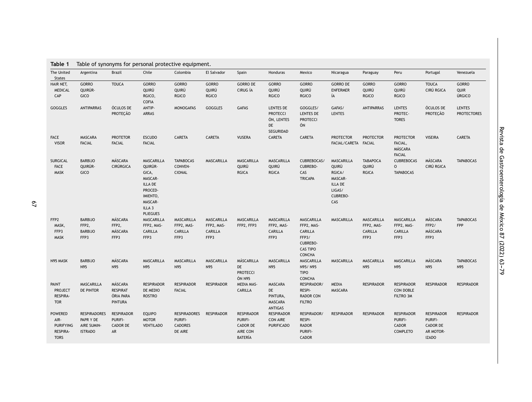<span id="page-4-0"></span>

| The United                                                            | Argentina                                                         | <b>Brazil</b>                                      | Chile                                                                                                                      | Colombia                                             | El Salvador                                        | Spain                                                                         | Honduras                                                      | Mexico                                                                                                     | Nicaragua                                                                        | Paraguay                                           | Peru                                                    | Portugal                                                              | Venezuela                             |
|-----------------------------------------------------------------------|-------------------------------------------------------------------|----------------------------------------------------|----------------------------------------------------------------------------------------------------------------------------|------------------------------------------------------|----------------------------------------------------|-------------------------------------------------------------------------------|---------------------------------------------------------------|------------------------------------------------------------------------------------------------------------|----------------------------------------------------------------------------------|----------------------------------------------------|---------------------------------------------------------|-----------------------------------------------------------------------|---------------------------------------|
| <b>States</b>                                                         |                                                                   |                                                    |                                                                                                                            |                                                      |                                                    |                                                                               |                                                               |                                                                                                            |                                                                                  |                                                    |                                                         |                                                                       |                                       |
| HAIR NET,<br><b>MEDICAL</b><br>CAP                                    | <b>GORRO</b><br>QUIRÚR-<br>GICO                                   | <b>TOUCA</b>                                       | GORRO<br>QUIRÚ<br>RGICO,<br><b>COFIA</b>                                                                                   | <b>GORRO</b><br>QUIRÚ<br><b>RGICO</b>                | GORRO<br>QUIRÚ<br><b>RGICO</b>                     | <b>GORRO DE</b><br>CIRUG ÍA                                                   | <b>GORRO</b><br>QUIRÚ<br><b>RGICO</b>                         | GORRO<br>QUIRÚ<br><b>RGICO</b>                                                                             | <b>GORRO DE</b><br><b>ENFERMER</b><br>ÍA                                         | <b>GORRO</b><br>QUIRÚ<br><b>RGICO</b>              | GORRO<br>QUIRÚ<br><b>RGICO</b>                          | <b>TOUCA</b><br>CIRÚ RGICA                                            | <b>GORRO</b><br><b>QUIR</b><br>ÚRGICO |
| GOGGLES                                                               | <b>ANTIPARRAS</b>                                                 | ÓCULOS DE<br><b>PROTECÃO</b>                       | ANTIP-<br><b>ARRAS</b>                                                                                                     | <b>MONOGAFAS</b>                                     | <b>GOGGLES</b>                                     | <b>GAFAS</b>                                                                  | LENTES DE<br><b>PROTECCI</b><br>ÓN, LENTES<br>DE<br>SEGURIDAD | GOGGLES/<br><b>LENTES DE</b><br><b>PROTECCI</b><br>ÓN                                                      | GAFAS/<br><b>LENTES</b>                                                          | <b>ANTIPARRAS</b>                                  | <b>LENTES</b><br>PROTEC-<br><b>TORES</b>                | ÓCULOS DE<br><b>PROTECÃO</b>                                          | <b>LENTES</b><br><b>PROTECTORES</b>   |
| FACE<br><b>VISOR</b>                                                  | MASCARA<br><b>FACIAL</b>                                          | <b>PROTETOR</b><br><b>FACIAL</b>                   | <b>ESCUDO</b><br><b>FACIAL</b>                                                                                             | CARETA                                               | CARETA                                             | <b>VUSERA</b>                                                                 | CARETA                                                        | CARETA                                                                                                     | <b>PROTECTOR</b><br>FACIAL/CARETA FACIAL                                         | <b>PROTECTOR</b>                                   | <b>PROTECTOR</b><br>FACIAL,<br>MÁSCARA<br><b>FACIAL</b> | <b>VISEIRA</b>                                                        | CARETA                                |
| SURGICAL<br><b>FACE</b><br><b>MASK</b>                                | <b>BARBIJO</b><br>QUIRÚR-<br>GICO                                 | MÁSCARA<br><b>CIRÚRGICA</b>                        | <b>MASCARILLA</b><br>QUIRÚR-<br>GICA,<br>MASCAR-<br>ILLA DE<br>PROCED-<br>IMIENTO,<br>MASCAR-<br>ILLA 3<br><b>PLIEGUES</b> | <b>TAPABOCAS</b><br>CONVEN-<br><b>CIONAL</b>         | MASCARILLA                                         | MASCARILLA<br>QUIRÚ<br><b>RGICA</b>                                           | MASCARILLA<br>QUIRÚ<br><b>RGICA</b>                           | CUBREBOCAS/<br>CUBREBO-<br>CAS<br><b>TRICAPA</b>                                                           | MASCARILLA<br>QUIRÚ<br>RGICA/<br>MASCAR-<br>ILLA DE<br>LIGAS/<br>CUBREBO-<br>CAS | <b>TABAPOCA</b><br>QUIRÚ<br><b>RGICA</b>           | <b>CUBREBOCAS</b><br>O<br><b>TAPABOCAS</b>              | MÁSCARA<br>CIRÚ RGICA                                                 | <b>TAPABOCAS</b>                      |
| FFP <sub>2</sub><br>MASK,<br>FFP3<br><b>MASK</b>                      | <b>BARBIJO</b><br>FFP <sub>2</sub> ,<br><b>BARBIJO</b><br>FFP3    | MÁSCARA<br>FFP2,<br>MÁSCARA<br>FFP3                | MASCARILLA<br>FFP2, MAS-<br>CARILLA<br>FFP3                                                                                | MASCARILLA<br>FFP2, MAS-<br><b>CARILLA</b><br>FFP3   | MASCARILLA<br>FFP2, MAS-<br><b>CARILLA</b><br>FFP3 | MASCARILLA<br>FFP2, FFP3                                                      | MASCARILLA<br>FFP2, MAS-<br><b>CARILLA</b><br>FFP3            | <b>MASCARILLA</b><br>FFP2, MAS-<br>CARILLA<br>FFP3/<br><b>CUBREBO-</b><br><b>CAS TIPO</b><br><b>CONCHA</b> | MASCARILLA                                                                       | MASCARILLA<br>FFP2, MAS-<br><b>CARILLA</b><br>FFP3 | <b>MASCARILLA</b><br>FFP2, MAS-<br>CARILLA<br>FFP3      | MÁSCARA<br>FFP <sub>2</sub> /<br>MÁSCARA<br>FFP3                      | <b>TAPABOCAS</b><br><b>FPP</b>        |
| N95 MASK                                                              | <b>BARBIJO</b><br>N95                                             | MÁSCARA<br>N95                                     | MASCARILLA<br>N95                                                                                                          | MASCARILLA<br>N95                                    | MASCARILLA<br>N95                                  | MÁSCARILLA<br>DE<br><b>PROTECCI</b><br>ÓN N95                                 | MASCARILLA<br>N95                                             | <b>MASCARILLA</b><br>N95/N95<br><b>TIPO</b><br><b>CONCHA</b>                                               | MASCARILLA                                                                       | MASCARILLA<br>N95                                  | MASCARILLA<br>N95                                       | MÁSCARA<br>N95                                                        | <b>TAPABOCAS</b><br>N95               |
| PAINT<br><b>PROJECT</b><br>RESPIRA-<br><b>TOR</b>                     | MASCARILLA<br>DE PINTOR                                           | MÁSCARA<br><b>RESPIRAT</b><br>ÓRIA PARA<br>PINTURA | <b>RESPIRADOR</b><br>DE MEDIO<br><b>ROSTRO</b>                                                                             | <b>RESPIRADOR</b><br><b>FACIAL</b>                   | <b>RESPIRADOR</b>                                  | <b>MEDIA MAS-</b><br>CARILLA                                                  | MASCARA<br>DE<br>PINTURA,<br>MASCARA<br><b>ANTIGAS</b>        | RESPIRADOR/<br>RESPI-<br><b>RADOR CON</b><br><b>FILTRO</b>                                                 | MEDIA<br>MASCARA                                                                 | <b>RESPIRADOR</b>                                  | <b>RESPIRADOR</b><br><b>CON DOBLE</b><br>FILTRO 3M      | <b>RESPIRADOR</b>                                                     | <b>RESPIRADOR</b>                     |
| <b>POWERED</b><br>AIR-<br><b>PURIFYING</b><br>RESPIRA-<br><b>TORS</b> | <b>RESPIRADORES</b><br>PAPR Y DE<br>AIRE SUMIN-<br><b>ISTRADO</b> | <b>RESPIRADOR</b><br>PURIFI-<br>CADOR DE<br>AR     | <b>EQUIPO</b><br><b>MOTOR</b><br><b>VENTILADO</b>                                                                          | <b>RESPIRADORES</b><br>PURIFI-<br>CADORES<br>DE AIRE | <b>RESPIRADOR</b>                                  | <b>RESPIRADOR</b><br>PURIFI-<br><b>CADOR DE</b><br>AIRE CON<br><b>BATERÍA</b> | <b>RESPIRADOR</b><br><b>CON AIRE</b><br><b>PURIFICADO</b>     | RESPIRADOR/<br>RESPI-<br><b>RADOR</b><br>PURIFI-<br><b>CADOR</b>                                           | <b>RESPIRADOR</b>                                                                | <b>RESPIRADOR</b>                                  | <b>RESPIRADOR</b><br>PURIFI-<br>CADOR<br>COMPLETO       | <b>RESPIRADOR</b><br>PURIFI-<br>CADOR DE<br>AR MOTOR-<br><b>IZADO</b> | <b>RESPIRADOR</b>                     |

Revista

de

Gastroenterología

de

México

ఇ

(2022)

63---79

67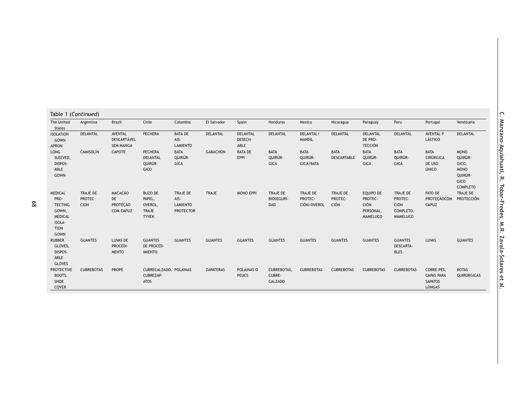| Table 1 (Continued)                                                                          |                                           |                                                             |                                                              |                                                         |                  |                             |                                       |                                     |                                    |                                                              |                                                             |                                                                    |                                                                                      |
|----------------------------------------------------------------------------------------------|-------------------------------------------|-------------------------------------------------------------|--------------------------------------------------------------|---------------------------------------------------------|------------------|-----------------------------|---------------------------------------|-------------------------------------|------------------------------------|--------------------------------------------------------------|-------------------------------------------------------------|--------------------------------------------------------------------|--------------------------------------------------------------------------------------|
| The United<br><b>States</b>                                                                  | Argentina                                 | <b>Brazil</b>                                               | Chile                                                        | Colombia                                                | El Salvador      | Spain                       | Honduras                              | Mexico                              | Nicaragua                          | Paraguay                                                     | Peru                                                        | Portugal                                                           | Venezuela                                                                            |
| <b>ISOLATION</b><br>GOWN<br>APRON                                                            | DELANTAL                                  | AVENTAL<br>DESCARTÁVEL<br><b>SEM MANGA</b>                  | PECHERA                                                      | <b>BATA DE</b><br>AIS-<br><b>LAMIENTO</b>               | <b>DELANTAL</b>  | DELANTAL<br>DESECH-<br>ABLE | <b>DELANTAL</b>                       | DELANTAL/<br><b>MANDIL</b>          | <b>DELANTAL</b>                    | DELANTAL<br>DE PRO-<br><b>TECCIÓN</b>                        | <b>DELANTAL</b>                                             | <b>AVENTAL P</b><br>LÁSTICO                                        | <b>DELANTAL</b>                                                                      |
| LONG<br>SLEEVED,<br>DISPOS-<br>ABLE<br>GOWN                                                  | <b>CAMISOLÍN</b>                          | <b>CAPOTE</b>                                               | PECHERA<br>DELANTAL<br>QUIRÚR-<br>GICO                       | <b>BATA</b><br>QUIRÚR-<br>GICA                          | <b>GABACHON</b>  | <b>BATA DE</b><br>EPPI      | <b>BATA</b><br>QUIRÚR-<br><b>GICA</b> | <b>BATA</b><br>QUIRÚR-<br>GICA/BATA | <b>BATA</b><br>DESCARTABLE         | <b>BATA</b><br>QUIRÚR-<br><b>GICA</b>                        | <b>BATA</b><br>QUIRÚR-<br><b>GICA</b>                       | <b>BATA</b><br><b>CIRÚRGICA</b><br>DE USO<br>ÚNICO                 | <b>MONO</b><br>QUIRÚR-<br>GICO,<br><b>MONO</b><br>QUIRÚR-<br>GICO<br><b>COMPLETO</b> |
| <b>MEDICAL</b><br>PRO-<br><b>TECTING</b><br>GOWN,<br><b>MEDICAL</b><br>ISOLA-<br><b>TION</b> | <b>TRAJE DE</b><br>PROTEC-<br><b>CION</b> | <b>MACACÃO</b><br>DE<br><b>PROTECÃO</b><br><b>COM CAPUZ</b> | <b>BUZO DE</b><br>PAPEL,<br>OVEROL,<br>TRAJE<br><b>TYVEK</b> | TRAJE DE<br>AIS-<br><b>LAMIENTO</b><br><b>PROTECTOR</b> | TRAJE            | <b>MONO EPPI</b>            | TRAJE DE<br><b>BIOSEGURI-</b><br>DAD  | TRAJE DE<br>PROTEC-<br>CIÓN/OVEROL  | TRAJE DE<br>PROTEC-<br><b>CIÓN</b> | EQUIPO DE<br>PROTEC-<br><b>CIÓN</b><br>PERSONAL,<br>MAMELUCO | TRAJE DE<br>PROTEC-<br><b>CIÓN</b><br>COMPLETO,<br>MAMELUCO | FATO DE<br>PROTECÃOCOM<br>CAPUZ                                    | TRAJE DE<br><b>PROTECCIÓN</b>                                                        |
| GOWN<br><b>RUBBER</b><br>GLOVES,<br>DISPOS-<br>ABLE<br><b>GLOVES</b>                         | <b>GUANTES</b>                            | LUVAS DE<br>PROCEDI-<br><b>MENTO</b>                        | <b>GUANTES</b><br>DE PROCED-<br><b>IMIENTO</b>               | <b>GUANTES</b>                                          | <b>GUANTES</b>   | <b>GUANTES</b>              | <b>GUANTES</b>                        | <b>GUANTES</b>                      | <b>GUANTES</b>                     | <b>GUANTES</b>                                               | <b>GUANTES</b><br><b>DESCARTA-</b><br><b>BLES</b>           | LUVAS                                                              | <b>GUANTES</b>                                                                       |
| <b>PROTECTIVE</b><br>BOOTS,<br>SHOE<br><b>COVER</b>                                          | <b>CUBREBOTAS</b>                         | <b>PROPÉ</b>                                                | CUBRECALZADO, POLAINAS<br>CUBREZAP-<br><b>ATOS</b>           |                                                         | <b>ZAPATERAS</b> | POLAINAS O<br><b>PEUCS</b>  | CUBREBOTAS,<br>CUBRE-<br>CALZADO      | <b>CUBREBOTAS</b>                   | <b>CUBREBOTAS</b>                  | <b>CUBREBOTAS</b>                                            | <b>CUBREBOTAS</b>                                           | COBRE-PÉS,<br><b>CAPAS PARA</b><br><b>SAPATOS</b><br><b>LONGAS</b> | <b>BOTAS</b><br>QUIRÚRGICAS                                                          |

al.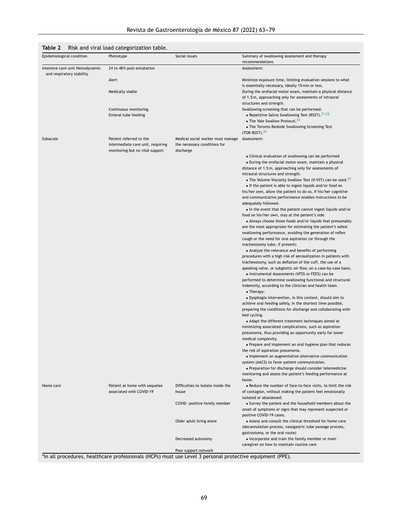# <span id="page-6-0"></span>**Table 2** Risk and viral load categorization table.

| Epidemiological condition                                    | Phenotype                                                                                               | Social issues                                                                  | Summary of swallowing assessment and therapy<br>recommendations                                                                                           |
|--------------------------------------------------------------|---------------------------------------------------------------------------------------------------------|--------------------------------------------------------------------------------|-----------------------------------------------------------------------------------------------------------------------------------------------------------|
| Intensive care unit Hemodynamic<br>and respiratory stability | 24 to 48 h post-extubation                                                                              |                                                                                | Assessment:                                                                                                                                               |
|                                                              | Alert                                                                                                   |                                                                                | Minimize exposure time, limiting evaluation sessions to what<br>is essentially necessary, ideally 15 min or less.                                         |
|                                                              | Medically stable                                                                                        |                                                                                | During the orofacial motor exam, maintain a physical distance<br>of 1.5 m, approaching only for assessments of intraoral                                  |
|                                                              |                                                                                                         |                                                                                | structures and strength.                                                                                                                                  |
|                                                              | Continuous monitoring<br>Enteral tube feeding                                                           |                                                                                | Swallowing screening that can be performed:<br>• Repetitive Saliva Swallowing Test (RSST). <sup>21,22</sup><br>• The Yale Swallow Protocol. <sup>23</sup> |
|                                                              |                                                                                                         |                                                                                | • The Toronto Bedside Swallowing Screening Test<br>$(TOR-BSST).24$                                                                                        |
| Subacute                                                     | Patient referred to the<br>intermediate care unit, requiring<br>monitoring but no vital support         | Medical social worker must manage<br>the necessary conditions for<br>discharge | Assessment:                                                                                                                                               |
|                                                              |                                                                                                         |                                                                                | • Clinical evaluation of swallowing can be performed                                                                                                      |
|                                                              |                                                                                                         |                                                                                | • During the orofacial motor exam, maintain a physical                                                                                                    |
|                                                              |                                                                                                         |                                                                                | distance of 1.5m, approaching only for assessments of                                                                                                     |
|                                                              |                                                                                                         |                                                                                | intraoral structures and strength.                                                                                                                        |
|                                                              |                                                                                                         |                                                                                | • The Volume-Viscosity Swallow Test (V-VST) can be used. <sup>25</sup><br>• If the patient is able to ingest liquids and/or food on                       |
|                                                              |                                                                                                         |                                                                                | his/her own, allow the patient to do so, if his/her cognitive                                                                                             |
|                                                              |                                                                                                         |                                                                                | and communicative performance enables instructions to be<br>adequately followed.                                                                          |
|                                                              |                                                                                                         |                                                                                | • In the event that the patient cannot ingest liquids and/or                                                                                              |
|                                                              |                                                                                                         |                                                                                | food on his/her own, stay at the patient's side.                                                                                                          |
|                                                              |                                                                                                         |                                                                                | • Always choose those foods and/or liquids that presumably<br>are the most appropriate for estimating the patient's safest                                |
|                                                              |                                                                                                         |                                                                                | swallowing performance, avoiding the generation of reflex                                                                                                 |
|                                                              |                                                                                                         |                                                                                | cough or the need for oral aspiration (or through the                                                                                                     |
|                                                              |                                                                                                         |                                                                                | tracheostomy tube, if present)<br>• Analyze the relevance and benefits of performing                                                                      |
|                                                              |                                                                                                         |                                                                                | procedures with a high risk of aerosolization in patients with<br>tracheostomy, such as deflation of the cuff, the use of a                               |
|                                                              |                                                                                                         |                                                                                | speaking valve, or subglottic air flow, on a case-by-case basis.                                                                                          |
|                                                              |                                                                                                         |                                                                                | • Instrumental Assessments (VFSS or FEES) can be                                                                                                          |
|                                                              |                                                                                                         |                                                                                | performed to determine swallowing functional and structural<br>indemnity, according to the clinician and health team.<br>$\bullet$ Therapy:               |
|                                                              |                                                                                                         |                                                                                | • Dysphagia intervention, in this context, should aim to                                                                                                  |
|                                                              |                                                                                                         |                                                                                | achieve oral feeding safely, in the shortest time possible,<br>preparing the conditions for discharge and collaborating with                              |
|                                                              |                                                                                                         |                                                                                | bed cycling.<br>• Adapt the different treatment techniques aimed at                                                                                       |
|                                                              |                                                                                                         |                                                                                | minimizing associated complications, such as aspiration                                                                                                   |
|                                                              |                                                                                                         |                                                                                | pneumonia, thus providing an opportunity early for lower<br>medical complexity.                                                                           |
|                                                              |                                                                                                         |                                                                                | • Prepare and implement an oral hygiene plan that reduces<br>the risk of aspiration pneumonia.                                                            |
|                                                              |                                                                                                         |                                                                                | • Implement an augmentative alternative communication                                                                                                     |
|                                                              |                                                                                                         |                                                                                | system (AACS) to favor patient communication.                                                                                                             |
|                                                              |                                                                                                         |                                                                                | • Preparation for discharge should consider telemedicine<br>monitoring and assess the patient's feeding performance at<br>home.                           |
| Home care                                                    | Patient at home with sequelae<br>associated with COVID-19                                               | Difficulties to isolate inside the<br>house                                    | • Reduce the number of face-to-face visits, to limit the risk<br>of contagion, without making the patient feel emotionally                                |
|                                                              |                                                                                                         |                                                                                | isolated or abandoned.                                                                                                                                    |
|                                                              |                                                                                                         | COVID- positive family member                                                  | • Survey the patient and the household members about the<br>onset of symptoms or signs that may represent suspected or<br>positive COVID-19 cases.        |
|                                                              |                                                                                                         | Older adult living alone                                                       | • Assess and consult the clinical threshold for home care                                                                                                 |
|                                                              |                                                                                                         |                                                                                | (decannulation process, nasogastric tube passage process,                                                                                                 |
|                                                              |                                                                                                         | Decreased autonomy                                                             | gastrostomy, or the oral route)<br>• Incorporate and train the family member or main                                                                      |
|                                                              |                                                                                                         |                                                                                | caregiver on how to maintain routine care                                                                                                                 |
|                                                              | th all procedures, healthcare professionals (HCDs) must use Level 3 personal protective equipment (DDF) | Poor support network                                                           |                                                                                                                                                           |

'In all procedures, healthcare professionals (HCPs) must use Level 3 personal protective equipment (PPE).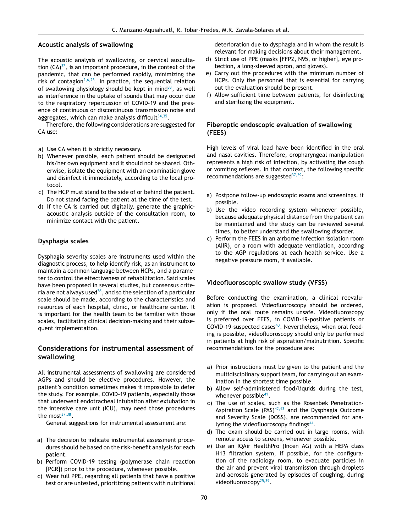## **Acoustic analysis of swallowing**

The acoustic analysis of swallowing, or cervical auscultation (CA) $^{32}$  $^{32}$  $^{32}$ , is an important procedure, in the context of the pandemic, that can be performed rapidly, minimizing the risk of contagion<sup>[2,6,23](#page-14-0)</sup>. In practice, the sequential relation of swallowing physiology should be kept in mind $^{33}$  $^{33}$  $^{33}$ , as well as interference in the uptake of sounds that may occur due to the respiratory repercussion of COVID-19 and the presence of continuous or discontinuous transmission noise and aggregates, which can make analysis difficult $^{34,35}.$  $^{34,35}.$  $^{34,35}.$ 

Therefore, the following considerations are suggested for CA use:

- a) Use CA when it is strictly necessary.
- b) Whenever possible, each patient should be designated his/her own equipment and it should not be shared. Otherwise, isolate the equipment with an examination glove and disinfect it immediately, according to the local protocol.
- c) The HCP must stand to the side of or behind the patient. Do not stand facing the patient at the time of the test.
- d) If the CA is carried out digitally, generate the graphicacoustic analysis outside of the consultation room, to minimize contact with the patient.

# **Dysphagia scales**

Dysphagia severity scales are instruments used within the diagnostic process, to help identify risk, as an instrument to maintain a common language between HCPs, and a parameter to control the effectiveness of rehabilitation. Said scales have been proposed in several studies, but consensus criteria are not always used $^{36}$  $^{36}$  $^{36}$ , and so the selection of a particular scale should be made, according to the characteristics and resources of each hospital, clinic, or healthcare center. It is important for the health team to be familiar with those scales, facilitating clinical decision-making and their subsequent implementation.

# **Considerations for instrumental assessment of swallowing**

All instrumental assessments of swallowing are considered AGPs and should be elective procedures. However, the patient's condition sometimes makes it impossible to defer the study. For example, COVID-19 patients, especially those that underwent endotracheal intubation after extubation in the intensive care unit (ICU), may need those procedures the most $37,38$ .

General suggestions for instrumental assessment are:

- a) The decision to indicate instrumental assessment procedures should be based on the risk-benefit analysis for each patient.
- b) Perform COVID-19 testing (polymerase chain reaction [PCR]) prior to the procedure, whenever possible.
- c) Wear full PPE, regarding all patients that have a positive test or are untested, prioritizing patients with nutritional

deterioration due to dysphagia and in whom the result is relevant for making decisions about their management.

- d) Strict use of PPE (masks [FFP2, N95, or higher], eye protection, a long-sleeved apron, and gloves).
- e) Carry out the procedures with the minimum number of HCPs. Only the personnel that is essential for carrying out the evaluation should be present.
- f) Allow sufficient time between patients, for disinfecting and sterilizing the equipment.

## **Fiberoptic endoscopic evaluation of swallowing (FEES)**

High levels of viral load have been identified in the oral and nasal cavities. Therefore, oropharyngeal manipulation represents a high risk of infection, by activating the cough or vomiting reflexes. In that context, the following specific recommendations are suggested $37,39$ :

- a) Postpone follow-up endoscopic exams and screenings, if possible.
- b) Use the video recording system whenever possible, because adequate physical distance from the patient can be maintained and the study can be reviewed several times, to better understand the swallowing disorder.
- c) Perform the FEES in an airborne infection isolation room (AIIR), or a room with adequate ventilation, according to the AGP regulations at each health service. Use a negative pressure room, if available.

## **Videofluoroscopic swallow study (VFSS)**

Before conducting the examination, a clinical reevaluation is proposed. Videofluoroscopy should be ordered, only if the oral route remains unsafe. Videofluoroscopy is preferred over FEES, in COVID-19-positive patients or COVID-19-suspected cases $40$ . Nevertheless, when oral feeding is possible, videofluoroscopy should only be performed in patients at high risk of aspiration/malnutrition. Specific recommendations for the procedure are:

- a) Prior instructions must be given to the patient and the multidisciplinary support team, for carrying out an examination in the shortest time possible.
- b) Allow self-administered food/liquids during the test, whenever possible<sup>[41](#page-15-0)</sup>.
- c) The use of scales, such as the Rosenbek Penetration-Aspiration Scale (PAS) $42,43$  and the Dysphagia Outcome and Severity Scale (DOSS), are recommended for ana-lyzing the videofluoroscopy findings<sup>[44](#page-15-0)</sup>.
- d) The exam should be carried out in large rooms, with remote access to screens, whenever possible.
- e) Use an IQAir HealthPro (Incen AG) with a HEPA class H13 filtration system, if possible, for the configuration of the radiology room, to evacuate particles in the air and prevent viral transmission through droplets and aerosols generated by episodes of coughing, during videofluoroscopy<sup>[25,39](#page-14-0)</sup>.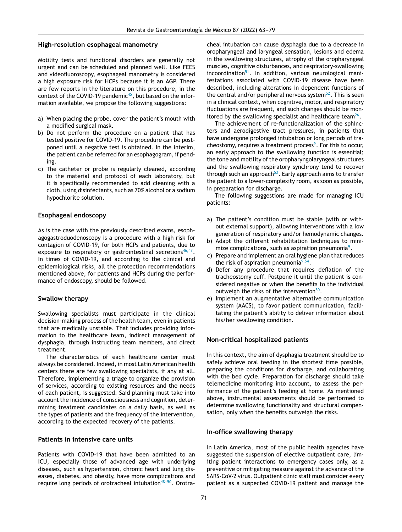#### **High-resolution esophageal manometry**

Motility tests and functional disorders are generally not urgent and can be scheduled and planned well. Like FEES and videofluoroscopy, esophageal manometry is considered a high exposure risk for HCPs because it is an AGP. There are few reports in the literature on this procedure, in the context of the COVID-19 pandemic $^{45}$  $^{45}$  $^{45}$ , but based on the information available, we propose the following suggestions:

- a) When placing the probe, cover the patient's mouth with a modified surgical mask.
- b) Do not perform the procedure on a patient that has tested positive for COVID-19. The procedure can be postponed until a negative test is obtained. In the interim, the patient can be referred for an esophagogram, if pending.
- c) The catheter or probe is regularly cleaned, according to the material and protocol of each laboratory, but it is specifically recommended to add cleaning with a cloth, using disinfectants, such as 70% alcohol or a sodium hypochlorite solution.

#### **Esophageal endoscopy**

As is the case with the previously described exams, esophagogastroduodenoscopy is a procedure with a high risk for contagion of COVID-19, for both HCPs and patients, due to exposure to respiratory or gastrointestinal secretions<sup>[46,47](#page-15-0)</sup>. In times of COVID-19, and according to the clinical and epidemiological risks, all the protection recommendations mentioned above, for patients and HCPs during the performance of endoscopy, should be followed.

#### **Swallow therapy**

Swallowing specialists must participate in the clinical decision-making process of the health team, even in patients that are medically unstable. That includes providing information to the healthcare team, indirect management of dysphagia, through instructing team members, and direct treatment.

The characteristics of each healthcare center must always be considered. Indeed, in most Latin American health centers there are few swallowing specialists, if any at all. Therefore, implementing a triage to organize the provision of services, according to existing resources and the needs of each patient, is suggested. Said planning must take into account the incidence of consciousness and cognition, determining treatment candidates on a daily basis, as well as the types of patients and the frequency of the intervention, according to the expected recovery of the patients.

# **Patients in intensive care units**

Patients with COVID-19 that have been admitted to an ICU, especially those of advanced age with underlying diseases, such as hypertension, chronic heart and lung diseases, diabetes, and obesity, have more complications and require long periods of orotracheal intubation<sup>48-50</sup>. Orotracheal intubation can cause dysphagia due to a decrease in oropharyngeal and laryngeal sensation, lesions and edema in the swallowing structures, atrophy of the oropharyngeal muscles, cognitive disturbances, and respiratory-swallowing incoordination<sup>[51](#page-15-0)</sup>. In addition, various neurological manifestations associated with COVID-19 disease have been described, including alterations in dependent functions of the central and/or peripheral nervous system<sup>[52](#page-15-0)</sup>. This is seen in a clinical context, when cognitive, motor, and respiratory fluctuations are frequent, and such changes should be monitored by the swallowing specialist and healthcare team $^{26}$  $^{26}$  $^{26}$ .

The achievement of re-functionalization of the sphincters and aerodigestive tract pressures, in patients that have undergone prolonged intubation or long periods of tra-cheostomy, requires a treatment process<sup>9</sup>[.](#page-14-0) For this to occur, an early approach to the swallowing function is essential; the tone and motility of the oropharyngolaryngeal structures and the swallowing respiratory synchrony tend to recover through such an approach<sup>[53](#page-15-0)</sup>. Early approach aims to transfer the patient to a lower-complexity room, as soon as possible, in preparation for discharge.

The following suggestions are made for managing ICU patients:

- a) The patient's condition must be stable (with or without external support), allowing interventions with a low generation of respiratory and/or hemodynamic changes.
- b) Adapt the different rehabilitation techniques to mini-mize complications, such as aspiration pneumonia<sup>9</sup>[.](#page-14-0)
- c) Prepare and implement an oral hygiene plan that reduces the risk of aspiration pneumonia $9,54$ .
- d) Defer any procedure that requires deflation of the tracheostomy cuff. Postpone it until the patient is considered negative or when the benefits to the individual outweigh the risks of the intervention<sup>[50](#page-15-0)</sup>.
- e) Implement an augmentative alternative communication system (AACS), to favor patient communication, facilitating the patient's ability to deliver information about his/her swallowing condition.

## **Non-critical hospitalized patients**

In this context, the aim of dysphagia treatment should be to safely achieve oral feeding in the shortest time possible, preparing the conditions for discharge, and collaborating with the bed cycle. Preparation for discharge should take telemedicine monitoring into account, to assess the performance of the patient's feeding at home. As mentioned above, instrumental assessments should be performed to determine swallowing functionality and structural compensation, only when the benefits outweigh the risks.

#### **In-office swallowing therapy**

In Latin America, most of the public health agencies have suggested the suspension of elective outpatient care, limiting patient interactions to emergency cases only, as a preventive or mitigating measure against the advance of the SARS-CoV-2 virus. Outpatient clinic staff must consider every patient as a suspected COVID-19 patient and manage the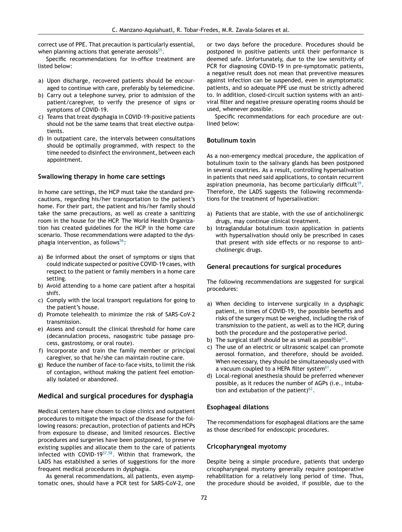correct use of PPE. That precaution is particularly essential, when planning actions that generate aerosols $^{55}.$  $^{55}.$  $^{55}.$ 

Specific recommendations for in-office treatment are listed below:

- a) Upon discharge, recovered patients should be encouraged to continue with care, preferably by telemedicine.
- b) Carry out a telephone survey, prior to admission of the patient/caregiver, to verify the presence of signs or symptoms of COVID-19.
- c) Teams that treat dysphagia in COVID-19-positive patients should not be the same teams that treat elective outpatients.
- d) In outpatient care, the intervals between consultations should be optimally programmed, with respect to the time needed to disinfect the environment, between each appointment.

#### **Swallowing therapy in home care settings**

In home care settings, the HCP must take the standard precautions, regarding his/her transportation to the patient's home. For their part, the patient and his/her family should take the same precautions, as well as create a sanitizing room in the house for the HCP. The World Health Organization has created guidelines for the HCP in the home care scenario. Those recommendations were adapted to the dysphagia intervention, as follows $56$ :

- a) Be informed about the onset of symptoms or signs that could indicate suspected or positive COVID-19 cases, with respect to the patient or family members in a home care setting.
- b) Avoid attending to a home care patient after a hospital shift.
- c) Comply with the local transport regulations for going to the patient's house.
- d) Promote telehealth to minimize the risk of SARS-CoV-2 transmission.
- e) Assess and consult the clinical threshold for home care (decannulation process, nasogastric tube passage process, gastrostomy, or oral route).
- f) Incorporate and train the family member or principal caregiver, so that he/she can maintain routine care.
- g) Reduce the number of face-to-face visits, to limit the risk of contagion, without making the patient feel emotionally isolated or abandoned.

# **Medical and surgical procedures for dysphagia**

Medical centers have chosen to close clinics and outpatient procedures to mitigate the impact of the disease for the following reasons: precaution, protection of patients and HCPs from exposure to disease, and limited resources. Elective procedures and surgeries have been postponed, to preserve existing supplies and allocate them to the care of patients infected with COVID-19<sup>[57,58](#page-15-0)</sup>. Within that framework, the LADS has established a series of suggestions for the more frequent medical procedures in dysphagia.

As general recommendations, all patients, even asymptomatic ones, should have a PCR test for SARS-CoV-2, one or two days before the procedure. Procedures should be postponed in positive patients until their performance is deemed safe. Unfortunately, due to the low sensitivity of PCR for diagnosing COVID-19 in pre-symptomatic patients, a negative result does not mean that preventive measures against infection can be suspended, even in asymptomatic patients, and so adequate PPE use must be strictly adhered to. In addition, closed-circuit suction systems with an antiviral filter and negative pressure operating rooms should be used, whenever possible.

Specific recommendations for each procedure are outlined below:

#### **Botulinum toxin**

As a non-emergency medical procedure, the application of botulinum toxin to the salivary glands has been postponed in several countries. As a result, controlling hypersalivation in patients that need said applications, to contain recurrent aspiration pneumonia, has become particularly difficult<sup>[59](#page-15-0)</sup>. Therefore, the LADS suggests the following recommendations for the treatment of hypersalivation:

- a) Patients that are stable, with the use of anticholinergic drugs, may continue clinical treatment.
- b) Intraglandular botulinum toxin application in patients with hypersalivation should only be prescribed in cases that present with side effects or no response to anticholinergic drugs.

#### **General precautions for surgical procedures**

The following recommendations are suggested for surgical procedures:

- a) When deciding to intervene surgically in a dysphagic patient, in times of COVID-19, the possible benefits and risks of the surgery must be weighed, including the risk of transmission to the patient, as well as to the HCP, during both the procedure and the postoperative period.
- b) The surgical staff should be as small as possible $60$ .
- c) The use of an electric or ultrasonic scalpel can promote aerosol formation, and therefore, should be avoided. When necessary, they should be simultaneously used with a vacuum coupled to a HEPA filter system<sup>[61](#page-15-0)</sup>.
- d) Local-regional anesthesia should be preferred whenever possible, as it reduces the number of AGPs (i.e., intubation and extubation of the patient) $62$ .

#### **Esophageal dilations**

The recommendations for esophageal dilations are the same as those described for endoscopic procedures.

#### **Cricopharyngeal myotomy**

Despite being a simple procedure, patients that undergo cricopharyngeal myotomy generally require postoperative rehabilitation for a relatively long period of time. Thus, the procedure should be avoided, if possible, due to the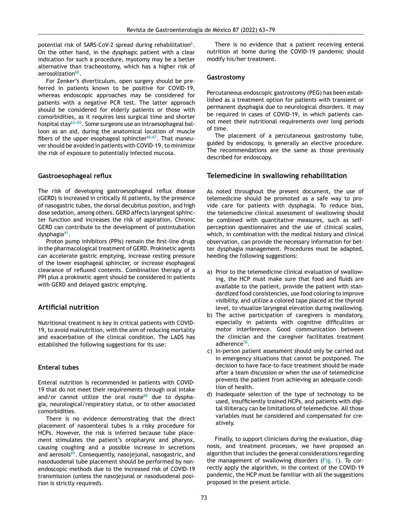potential risk of SARS-CoV-2 spread during rehabilitation $^6$ [.](#page-14-0) On the other hand, in the dysphagic patient with a clear indication for such a procedure, myotomy may be a better alternative than tracheostomy, which has a higher risk of aerosolization<sup>[60](#page-15-0)</sup>.

For Zenker's diverticulum, open surgery should be preferred in patients known to be positive for COVID-19, whereas endoscopic approaches may be considered for patients with a negative PCR test. The latter approach should be considered for elderly patients or those with comorbidities, as it requires less surgical time and shorter hospital stay<sup>63-65</sup>. Some surgeons use an intraesophageal balloon as an aid, during the anatomical location of muscle fibers of the upper esophageal sphincter<sup>[66,67](#page-16-0)</sup>. That maneuver should be avoided in patients with COVID-19, to minimize the risk of exposure to potentially infected mucosa.

#### **Gastroesophageal reflux**

The risk of developing gastroesophageal reflux disease (GERD) is increased in critically ill patients, by the presence of nasogastric tubes, the dorsal decubitus position, and high dose sedation, among others. GERD affects laryngeal sphincter function and increases the risk of aspiration. Chronic GERD can contribute to the development of postintubation dysphagia<sup>[41](#page-15-0)</sup>.

Proton pump inhibitors (PPIs) remain the first-line drugs in the pharmacological treatment of GERD. Prokinetic agents can accelerate gastric emptying, increase resting pressure of the lower esophageal sphincter, or increase esophageal clearance of refluxed contents. Combination therapy of a PPI plus a prokinetic agent should be considered in patients with GERD and delayed gastric emptying.

# **Artificial nutrition**

Nutritional treatment is key in critical patients with COVID-19, to avoid malnutrition, with the aim of reducing mortality and exacerbation of the clinical condition. The LADS has established the following suggestions for its use:

## **Enteral tubes**

Enteral nutrition is recommended in patients with COVID-19 that do not meet their requirements through oral intake and/or cannot utilize the oral route $68$  due to dysphagia, neurological/respiratory status, or to other associated comorbidities.

There is no evidence demonstrating that the direct placement of nasoenteral tubes is a risky procedure for HCPs. However, the risk is inferred because tube placement stimulates the patient's oropharynx and pharynx, causing coughing and a possible increase in secretions and aerosols<sup>[69](#page-16-0)</sup>. Consequently, nasojejunal, nasogastric, and nasoduodenal tube placement should be performed by nonendoscopic methods due to the increased risk of COVID-19 transmission (unless the nasojejunal or nasoduodenal position is strictly required).

There is no evidence that a patient receiving enteral nutrition at home during the COVID-19 pandemic should modify his/her treatment.

#### **Gastrostomy**

Percutaneous endoscopic gastrostomy (PEG) has been established as a treatment option for patients with transient or permanent dysphagia due to neurological disorders. It may be required in cases of COVID-19, in which patients cannot meet their nutritional requirements over long periods of time.

The placement of a percutaneous gastrostomy tube, guided by endoscopy, is generally an elective procedure. The recommendations are the same as those previously described for endoscopy.

# **Telemedicine in swallowing rehabilitation**

As noted throughout the present document, the use of telemedicine should be promoted as a safe way to provide care for patients with dysphagia. To reduce bias, the telemedicine clinical assessment of swallowing should be combined with quantitative measures, such as selfperception questionnaires and the use of clinical scales, which, in combination with the medical history and clinical observation, can provide the necessary information for better dysphagia management. Procedures must be adapted, heeding the following suggestions:

- a) Prior to the telemedicine clinical evaluation of swallowing, the HCP must make sure that food and fluids are available to the patient, provide the patient with standardized food consistencies, use food coloring to improve visibility, and utilize a colored tape placed at the thyroid level, to visualize laryngeal elevation during swallowing.
- b) The active participation of caregivers is mandatory, especially in patients with cognitive difficulties or motor interference. Good communication between the clinician and the caregiver facilitates treatment adherence<sup>[70](#page-16-0)</sup>.
- c) In-person patient assessment should only be carried out in emergency situations that cannot be postponed. The decision to have face-to-face treatment should be made after a team discussion or when the use of telemedicine prevents the patient from achieving an adequate condition of health.
- d) Inadequate selection of the type of technology to be used, insufficiently trained HCPs, and patients with digital illiteracy can be limitations of telemedicine. All those variables must be considered and compensated for creatively.

Finally, to support clinicians during the evaluation, diagnosis, and treatment processes, we have proposed an algorithm that includes the general considerations regarding the management of swallowing disorders ([Fig.](#page-11-0) 1). To correctly apply the algorithm, in the context of the COVID-19 pandemic, the HCP must be familiar with all the suggestions proposed in the present article.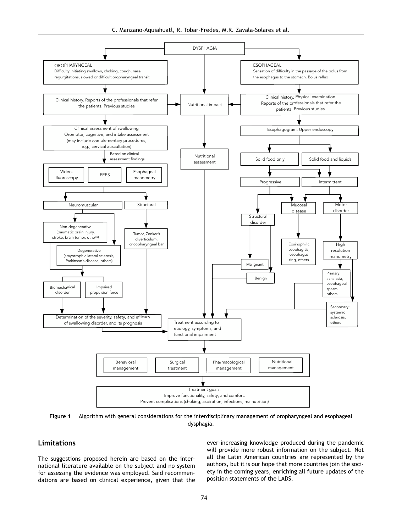C. Manzano-Aquiahuatl, R. Tobar-Fredes, M.R. Zavala-Solares et al.

<span id="page-11-0"></span>

**Figure 1** Algorithm with general considerations for the interdisciplinary management of oropharyngeal and esophageal dysphagia.

# **Limitations**

The suggestions proposed herein are based on the international literature available on the subject and no system for assessing the evidence was employed. Said recommendations are based on clinical experience, given that the ever-increasing knowledge produced during the pandemic will provide more robust information on the subject. Not all the Latin American countries are represented by the authors, but it is our hope that more countries join the society in the coming years, enriching all future updates of the position statements of the LADS.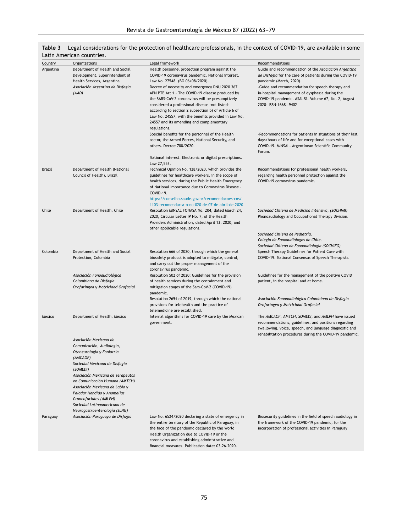<span id="page-12-0"></span>

|                             | Table 3 Legal considerations for the protection of healthcare professionals, in the context of COVID-19, are available in some |  |  |
|-----------------------------|--------------------------------------------------------------------------------------------------------------------------------|--|--|
| $l$ atin American countries |                                                                                                                                |  |  |

| Country       | Organizations                                          | Legal framework                                                                                           | Recommendations                                                                     |
|---------------|--------------------------------------------------------|-----------------------------------------------------------------------------------------------------------|-------------------------------------------------------------------------------------|
| Argentina     | Department of Health and Social                        | Health personnel protection program against the                                                           | Guide and recommendation of the Asociación Argentina                                |
|               | Development, Superintendent of                         | COVID-19 coronavirus pandemic. National interest.                                                         | <i>de Disfagia</i> for the care of patients during the COVID-19                     |
|               | Health Services, Argentina                             | Law No. 27548. (BO 06/08/2020).                                                                           | pandemic (March, 2020).                                                             |
|               | Asociación Argentina de Disfagia                       | Decree of necessity and emergency DNU 2020 367                                                            | -Guide and recommendation for speech therapy and                                    |
|               | (AAD)                                                  | APN PTE Art 1 - The COVID-19 disease produced by                                                          | in-hospital management of dysphagia during the                                      |
|               |                                                        | the SARS-CoV-2 coronavirus will be presumptively                                                          | COVID-19 pandemic. ASALFA. Volume 67, No. 2, August                                 |
|               |                                                        | considered a professional disease -not listed-                                                            | 2020- ISSN-1668-9402                                                                |
|               |                                                        | according to section 2 subsection b) of Article 6 of                                                      |                                                                                     |
|               |                                                        | Law No. 24557, with the benefits provided in Law No.<br>24557 and its amending and complementary          |                                                                                     |
|               |                                                        | regulations.                                                                                              |                                                                                     |
|               |                                                        | Special benefits for the personnel of the Health                                                          | -Recommendations for patients in situations of their last                           |
|               |                                                        | sector, the Armed Forces, National Security, and                                                          | days/hours of life and for exceptional cases with                                   |
|               |                                                        | others. Decree 788/2020.                                                                                  | COVID-19- MINSAL- Argentinean Scientific Community<br>Forum.                        |
|               |                                                        | National interest. Electronic or digital prescriptions.                                                   |                                                                                     |
|               |                                                        | Law 27,553.                                                                                               |                                                                                     |
| <b>Brazil</b> | Department of Health (National                         | Technical Opinion No. 128/2020, which provides the                                                        | Recommendations for professional health workers,                                    |
|               | Council of Health), Brazil                             | guidelines for healthcare workers, in the scope of<br>health services, during the Public Health Emergency | regarding health personnel protection against the<br>COVID-19 coronavirus pandemic. |
|               |                                                        | of National Importance due to Coronavirus Disease -                                                       |                                                                                     |
|               |                                                        | COVID-19.<br>https://conselho.saude.gov.br/recomendacoes-cns/                                             |                                                                                     |
|               |                                                        | 1103-recomendac-a-o-no-020-de-07-de-abril-de-2020                                                         |                                                                                     |
| Chile         | Department of Health, Chile                            | Resolution MINSAL FONASA No. 204, dated March 24,                                                         | Sociedad Chilena de Medicina Intensiva, (SOCHIMI)                                   |
|               |                                                        | 2020, Circular Letter IP No. 7, of the Health                                                             | Phonoaudiology and Occupational Therapy Division.                                   |
|               |                                                        | Providers Administration, dated April 13, 2020, and                                                       |                                                                                     |
|               |                                                        | other applicable regulations.                                                                             |                                                                                     |
|               |                                                        |                                                                                                           | Sociedad Chilena de Pediatría.                                                      |
|               |                                                        |                                                                                                           | Colegio de Fonoaudiólogos de Chile.                                                 |
|               |                                                        |                                                                                                           | Sociedad Chilena de Fonoaudiología (SOCHIFO)                                        |
| Colombia      | Department of Health and Social                        | Resolution 666 of 2020, through which the general                                                         | Speech Therapy Guidelines for Patient Care with                                     |
|               | Protection, Colombia                                   | biosafety protocol is adopted to mitigate, control,                                                       | COVID-19. National Consensus of Speech Therapists.                                  |
|               |                                                        | and carry out the proper management of the<br>coronavirus pandemic.                                       |                                                                                     |
|               | Asociación Fonoaudiológica                             | Resolution 502 of 2020: Guidelines for the provision                                                      | Guidelines for the management of the positive COVID                                 |
|               | Colombiana de Disfagia                                 | of health services during the containment and                                                             | patient, in the hospital and at home.                                               |
|               | Orofaríngea y Motricidad Orofacial                     | mitigation stages of the Sars-CoV-2 (COVID-19)                                                            |                                                                                     |
|               |                                                        | pandemic.                                                                                                 |                                                                                     |
|               |                                                        | Resolution 2654 of 2019, through which the national                                                       | Asociación Fonoaudiológica Colombiana de Disfagia                                   |
|               |                                                        | provisions for telehealth and the practice of                                                             | Orofaríngea y Motricidad Orofacial                                                  |
|               |                                                        | telemedicine are established.                                                                             |                                                                                     |
| Mexico        | Department of Health, Mexico                           | Internal algorithms for COVID-19 care by the Mexican                                                      | The AMCAOF, AMTCH, SOMEDI, and AMLPH have issued                                    |
|               |                                                        | government.                                                                                               | recommendations, guidelines, and positions regarding                                |
|               |                                                        |                                                                                                           | swallowing, voice, speech, and language diagnostic and                              |
|               |                                                        |                                                                                                           | rehabilitation procedures during the COVID-19 pandemic.                             |
|               | Asociación Mexicana de                                 |                                                                                                           |                                                                                     |
|               | Comunicación, Audiología,<br>Otoneurología y Foniatría |                                                                                                           |                                                                                     |
|               | (AMCAOF)                                               |                                                                                                           |                                                                                     |
|               | Sociedad Mexicana de Disfagia                          |                                                                                                           |                                                                                     |
|               | (SOMEDI)                                               |                                                                                                           |                                                                                     |
|               | Asociación Mexicana de Terapeutas                      |                                                                                                           |                                                                                     |
|               | en Comunicación Humana (AMTCH)                         |                                                                                                           |                                                                                     |
|               | Asociación Mexicana de Labio y                         |                                                                                                           |                                                                                     |
|               | Paladar Hendido y Anomalías                            |                                                                                                           |                                                                                     |
|               | Craneofaciales (AMLPH)                                 |                                                                                                           |                                                                                     |
|               | Sociedad Latinoamericana de                            |                                                                                                           |                                                                                     |
|               | Neurogastroenterología (SLNG)                          |                                                                                                           |                                                                                     |
| Paraguay      | Asociación Paraguaya de Disfagia                       | Law No. 6524/2020 declaring a state of emergency in                                                       | Biosecurity guidelines in the field of speech audiology in                          |
|               |                                                        | the entire territory of the Republic of Paraguay, in                                                      | the framework of the COVID-19 pandemic, for the                                     |
|               |                                                        | the face of the pandemic declared by the World<br>Health Organization due to COVID-19 or the              | incorporation of professional activities in Paraguay                                |
|               |                                                        | coronavirus and establishing administrative and                                                           |                                                                                     |
|               |                                                        | financial measures. Publication date: 03-26-2020.                                                         |                                                                                     |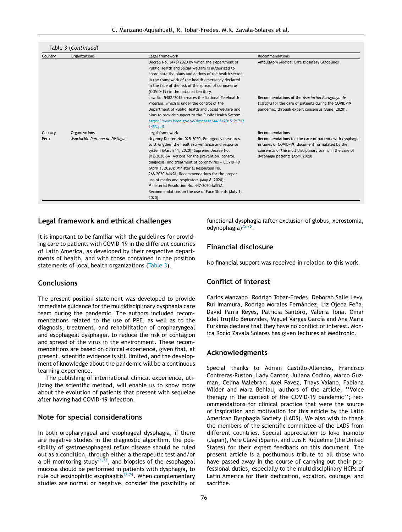|  | Table 3 (Continued) |
|--|---------------------|
|--|---------------------|

| Country         | <b>Organizations</b>                            | Legal framework                                                                                                                                                                                                                                                                                                                                                                                                                                                                                                                                  | Recommendations                                                                                                                                                                                                               |
|-----------------|-------------------------------------------------|--------------------------------------------------------------------------------------------------------------------------------------------------------------------------------------------------------------------------------------------------------------------------------------------------------------------------------------------------------------------------------------------------------------------------------------------------------------------------------------------------------------------------------------------------|-------------------------------------------------------------------------------------------------------------------------------------------------------------------------------------------------------------------------------|
|                 |                                                 | Decree No. 3475/2020 by which the Department of<br>Public Health and Social Welfare is authorized to<br>coordinate the plans and actions of the health sector,<br>in the framework of the health emergency declared<br>in the face of the risk of the spread of coronavirus<br>(COVID-19) in the national territory.                                                                                                                                                                                                                             | Ambulatory Medical Care Biosafety Guidelines                                                                                                                                                                                  |
|                 |                                                 | Law No. 5482/2015 creates the National Telehealth<br>Program, which is under the control of the<br>Department of Public Health and Social Welfare and<br>aims to provide support to the Public Health System.<br>https://www.bacn.gov.py/descarga/4465/2015121712<br>1453.pdf                                                                                                                                                                                                                                                                    | Recommendations of the Asociación Paraguaya de<br>Disfagia for the care of patients during the COVID-19<br>pandemic, through expert consensus (June, 2020).                                                                   |
| Country<br>Peru | Organizations<br>Asociación Peruana de Disfagia | Legal framework<br>Urgency Decree No. 025-2020, Emergency measures<br>to strengthen the health surveillance and response<br>system (March 11, 2020); Supreme Decree No.<br>012-2020-SA, Actions for the prevention, control,<br>diagnosis, and treatment of coronavirus - COVID-19<br>(April 1, 2020); Ministerial Resolution No.<br>268-2020-MINSA; Recommendations for the proper<br>use of masks and respirators (May 8, 2020);<br>Ministerial Resolution No. 447-2020-MINSA<br>Recommendations on the use of Face Shields (July 1,<br>2020). | Recommendations<br>Recommendations for the care of patients with dysphagia<br>in times of COVID-19, document formulated by the<br>consensus of the multidisciplinary team, in the care of<br>dysphagia patients (April 2020). |

# **Legal framework and ethical challenges**

It is important to be familiar with the guidelines for providing care to patients with COVID-19 in the different countries of Latin America, as developed by their respective departments of health, and with those contained in the position statements of local health organizations [\(Table](#page-12-0) 3).

# **Conclusions**

The present position statement was developed to provide immediate guidance for the multidisciplinary dysphagia care team during the pandemic. The authors included recommendations related to the use of PPE, as well as to the diagnosis, treatment, and rehabilitation of oropharyngeal and esophageal dysphagia, to reduce the risk of contagion and spread of the virus in the environment. These recommendations are based on clinical experience, given that, at present, scientific evidence is still limited, and the development of knowledge about the pandemic will be a continuous learning experience.

The publishing of international clinical experience, utilizing the scientific method, will enable us to know more about the evolution of patients that present with sequelae after having had COVID-19 infection.

## **Note for special considerations**

In both oropharyngeal and esophageal dysphagia, if there are negative studies in the diagnostic algorithm, the possibility of gastroesophageal reflux disease should be ruled out as a condition, through either a therapeutic test and/or a pH monitoring study $^{71,72}$  $^{71,72}$  $^{71,72}$ , and biopsies of the esophageal mucosa should be performed in patients with dysphagia, to rule out eosinophilic esophagitis $^{73,74}$  $^{73,74}$  $^{73,74}$ . When complementary studies are normal or negative, consider the possibility of functional dysphagia (after exclusion of globus, xerostomia, odynophagia)<sup>[75,76](#page-16-0)</sup>.

# **Financial disclosure**

No financial support was received in relation to this work.

# **Conflict of interest**

Carlos Manzano, Rodrigo Tobar-Fredes, Deborah Salle Levy, Rui Imamura, Rodrigo Morales Fernández, Liz Ojeda Peña, David Parra Reyes, Patricia Santoro, Valeria Tona, Omar Edel Trujillo Benavides, Miguel Vargas García and Ana Maria Furkima declare that they have no conflict of interest. Monica Rocío Zavala Solares has given lectures at Medtronic.

## **Acknowledgments**

Special thanks to Adrian Castillo-Allendes, Francisco Contreras-Ruston, Lady Cantor, Juliana Codino, Marco Guzman, Celina Malebrán, Axel Pavez, Thays Vaiano, Fabiana Wilder and Mara Behlau, authors of the article, ''Voice therapy in the context of the COVID-19 pandemic''; recommendations for clinical practice that were the source of inspiration and motivation for this article by the Latin American Dysphagia Society (LADS). We also wish to thank the members of the scientific committee of the LADS from different countries. Special appreciation to Ioko Inamoto (Japan), Pere Clavé (Spain), and Luis F. Riquelme (the United States) for their expert feedback on this document. The present article is a posthumous tribute to all those who have passed away in the course of carrying out their professional duties, especially to the multidisciplinary HCPs of Latin America for their dedication, vocation, courage, and sacrifice.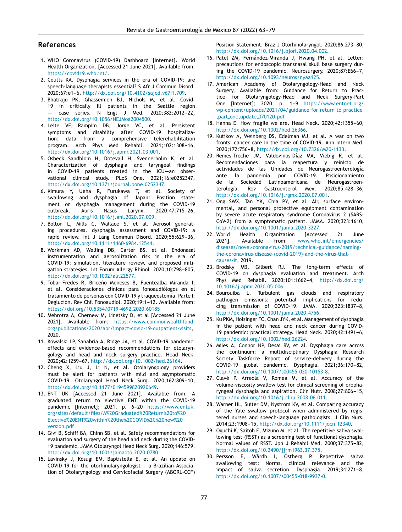## <span id="page-14-0"></span>**References**

- 1. WHO Coronavirus (COVID-19) Dashboard [Internet]. World Health Organization. [Accessed 21 June 2021]. Available from: <https://covid19.who.int/>.
- 2. Coutts KA. Dysphagia services in the era of COVID-19: are speech-language therapists essential? S Afr J Commun Disord. 2020;67:e1-6, [http://dx.doi.org/10.4102/sajcd.v67i1.709.](dx.doi.org/10.4102/sajcd.v67i1.709)
- 3. Bhatraju PK, Ghassemieh BJ, Nichols M, et al. Covid-19 in critically Ill patients in the Seattle region  $case$  series. N Engl J Med. 2020;382:2012-22, [http://dx.doi.org/10.1056/NEJMoa2004500.](dx.doi.org/10.1056/NEJMoa2004500)
- 4. Leite VF, Rampim DB, Jorge VC, et al. Persistent symptoms and disability after COVID-19 hospitalization: data from a comprehensive telerehabilitation program. Arch Phys Med Rehabil. 2021;102:1308-16, [http://dx.doi.org/10.1016/j.apmr.2021.03.001.](dx.doi.org/10.1016/j.apmr.2021.03.001)
- 5. Osbeck Sandblom H, Dotevall H, Svennerholm K, et al. Characterization of dysphagia and laryngeal findings in COVID-19 patients treated in the  $ICU$ --an observational clinical study. PLoS One. 2021;16:e0252347, [http://dx.doi.org/10.1371/journal.pone.0252347](dx.doi.org/10.1371/journal.pone.0252347).
- 6. Kimura Y, Ueha R, Furukawa T, et al. Society of swallowing and dysphagia of Japan: Position statement on dysphagia management during the COVID-19 outbreak. Auris Nasus Larynx. 2020:47:715-26, [http://dx.doi.org/10.1016/j.anl.2020.07.009](dx.doi.org/10.1016/j.anl.2020.07.009).
- 7. Bolton L, Mills C, Wallace S, et al. Aerosol generating procedures, dysphagia assessment and COVID-19: a rapid review. Int J Lang Commun Disord. 2020;55:629-36, [http://dx.doi.org/10.1111/1460-6984.12544](dx.doi.org/10.1111/1460-6984.12544).
- 8. Workman AD, Welling DB, Carter BS, et al. Endonasal instrumentation and aerosolization risk in the era of COVID-19: simulation, literature review, and proposed mitigation strategies. Int Forum Allergy Rhinol. 2020:10:798-805. [http://dx.doi.org/10.1002/alr.22577.](dx.doi.org/10.1002/alr.22577)
- 9. Tobar-Fredes R, Briceño Meneses B, Fuentealba Miranda I, et al. Consideraciones clínicas para fonoaudiólogos en el tratamiento de personas con COVID-19 y traqueostomía. Parte I: Deglución. Rev Chil Fonoaudiol. 2020;19:1-12. Available from: <https://doi.org/10.5354/0719-4692.2020.60185>
- 10. Mehrotra A, Chernew M, Linetsky D, et al [Accessed 21 June 2021]. Available from: [https://www.commonwealthfund.](https://www.commonwealthfund.org/publications/2020/apr/impact-covid-19-outpatient-visits) [org/publications/2020/apr/impact-covid-19-outpatient-visits](https://www.commonwealthfund.org/publications/2020/apr/impact-covid-19-outpatient-visits), 2020.
- 11. Kowalski LP, Sanabria A, Ridge JA, et al. COVID-19 pandemic: effects and evidence-based recommendations for otolaryngology and head and neck surgery practice. Head Neck. 2020;42:1259-67, [http://dx.doi.org/10.1002/hed.26164](dx.doi.org/10.1002/hed.26164).
- 12. Cheng X, Liu J, Li N, et al. Otolaryngology providers must be alert for patients with mild and asymptomatic COVID-19. Otolaryngol Head Neck Surg. 2020;162:809-10, [http://dx.doi.org/10.1177/0194599820920649](dx.doi.org/10.1177/0194599820920649).
- 13. ENT UK [Accessed 21 June 2021]. Available from: A graduated return to elective ENT within the COVID-19 pandemic [Internet]; 2021. p. 6-20 [https://www.entuk.](https://www.entuk.org/sites/default/files/A Graduated Return to Elective ENT within the COVID%2C new version.pdf) [org/sites/default/files/A%20Graduated%20Return%20to%20](https://www.entuk.org/sites/default/files/A Graduated Return to Elective ENT within the COVID%2C new version.pdf) [Elective%20ENT%20within%20the%20COVID%2C%20new%20](https://www.entuk.org/sites/default/files/A Graduated Return to Elective ENT within the COVID%2C new version.pdf) [version.pdf](https://www.entuk.org/sites/default/files/A Graduated Return to Elective ENT within the COVID%2C new version.pdf)
- 14. Givi B, Schiff BA, Chinn SB, et al. Safety recommendations for evaluation and surgery of the head and neck during the COVID-19 pandemic. JAMA Otolaryngol Head Neck Surg. 2020;146:579, [http://dx.doi.org/10.1001/jamaoto.2020.0780](dx.doi.org/10.1001/jamaoto.2020.0780).
- 15. Lavinsky J, Kosugi EM, Baptistella E, et al. An update on COVID-19 for the otorhinolaryngologist - a Brazilian Association of Otolaryngology and Cervicofacial Surgery (ABORL-CCF)

Position Statement. Braz J Otorhinolaryngol. 2020:86:273-80. [http://dx.doi.org/10.1016/j.bjorl.2020.04.002.](dx.doi.org/10.1016/j.bjorl.2020.04.002)

- 16. Patel ZM, Fernández-Miranda J, Hwang PH, et al. Letter: precautions for endoscopic transnasal skull base surgery during the COVID-19 pandemic. Neurosurgery. 2020;87:E66-7, [http://dx.doi.org/10.1093/neuros/nyaa125](dx.doi.org/10.1093/neuros/nyaa125).
- 17. American Academy of Otolaryngology-Head and Neck Surgery, Available from: Guidance for Return to Practice for Otolaryngology-Head and Neck Surgery-Part One [Internet]; 2020. p. 1-9 [https://www.entnet.org/](https://www.entnet.org/wp-content/uploads/2021/04/guidance_for_return_to_practice_part_one_update_070120.pdf) [wp-content/uploads/2021/04/guidance](https://www.entnet.org/wp-content/uploads/2021/04/guidance_for_return_to_practice_part_one_update_070120.pdf)\_for\_return\_to\_practice part one update [070120.pdf](https://www.entnet.org/wp-content/uploads/2021/04/guidance_for_return_to_practice_part_one_update_070120.pdf)
- 18. Hanna E. How fragile we are. Head Neck. 2020;42:1355-60, [http://dx.doi.org/10.1002/hed.26366](dx.doi.org/10.1002/hed.26366).
- 19. Kutikov A, Weinberg DS, Edelman MJ, et al. A war on two fronts: cancer care in the time of COVID-19. Ann Intern Med. 2020;172:756-8, [http://dx.doi.org/10.7326/M20-1133.](dx.doi.org/10.7326/M20-1133)
- 20. Remes-Troche JM, Valdovinos-Díaz MA, Viebig R, et al. Recomendaciones para la reapertura y reinicio de actividades de las Unidades de Neurogastroenterología ante la pandemia por COVID-19. Posicionamiento de la Sociedad Latinoamericana de Neurogastroenterología. Rev Gastroenterol Mex. 2020;85:428-36, [http://dx.doi.org/10.1016/j.rgmx.2020.07.001](dx.doi.org/10.1016/j.rgmx.2020.07.001).
- 21. Ong SWX, Tan YK, Chia PY, et al. Air, surface environmental, and personal protective equipment contamination by severe acute respiratory syndrome Coronavirus 2 (SARS-CoV-2) from a symptomatic patient. JAMA. 2020;323:1610, [http://dx.doi.org/10.1001/jama.2020.3227.](dx.doi.org/10.1001/jama.2020.3227)
- 22. World Health Organization [Accessed 21 June 2021]. Available from: [www.who.int/emergencies/](http://www.who.int/emergencies/diseases/novel-coronavirus-2019/technical-guidance/naming-the-coronavirus-disease-(covid-2019)-and-the-virus-that-causes-it) [diseases/novel-coronavirus-2019/technical-guidance/naming](http://www.who.int/emergencies/diseases/novel-coronavirus-2019/technical-guidance/naming-the-coronavirus-disease-(covid-2019)-and-the-virus-that-causes-it)[the-coronavirus-disease-\(covid-2019\)-and-the-virus-that](http://www.who.int/emergencies/diseases/novel-coronavirus-2019/technical-guidance/naming-the-coronavirus-disease-(covid-2019)-and-the-virus-that-causes-it)[causes-it,](http://www.who.int/emergencies/diseases/novel-coronavirus-2019/technical-guidance/naming-the-coronavirus-disease-(covid-2019)-and-the-virus-that-causes-it) 2019.
- 23. Brodsky MB, Gilbert RJ. The long-term effects of COVID-19 on dysphagia evaluation and treatment. Arch Phys Med Rehabil. 2020;101:1662-4, [http://dx.doi.org/](dx.doi.org/10.1016/j.apmr.2020.05.006) [10.1016/j.apmr.2020.05.006.](dx.doi.org/10.1016/j.apmr.2020.05.006)
- 24. Bourouiba L. Turbulent gas clouds and respiratory pathogen emissions: potential implications for redu $c$ ing transmission of  $COVID-19$ . JAMA.  $2020:323:1837-8$ . [http://dx.doi.org/10.1001/jama.2020.4756.](dx.doi.org/10.1001/jama.2020.4756)
- 25. Ku PKM, Holsinger FC, Chan JYK, et al. Management of dysphagia in the patient with head and neck cancer during COVID-19 pandemic: practical strategy. Head Neck. 2020;42:1491-6, [http://dx.doi.org/10.1002/hed.26224](dx.doi.org/10.1002/hed.26224).
- 26. Miles A, Connor NP, Desai RV, et al. Dysphagia care across the continuum: a multidisciplinary Dysphagia Research Society Taskforce Report of service-delivery during the COVID-19 global pandemic. Dysphagia. 2021;36:170-82, [http://dx.doi.org/10.1007/s00455-020-10153-8.](dx.doi.org/10.1007/s00455-020-10153-8)
- 27. Clavé P, Arreola V, Romea M, et al. Accuracy of the volume-viscosity swallow test for clinical screening of oropharyngeal dysphagia and aspiration. Clin Nutr. 2008:27:806-15, [http://dx.doi.org/10.1016/j.clnu.2008.06.011.](dx.doi.org/10.1016/j.clnu.2008.06.011)
- 28. Warner HL, Suiter DM, Nystrom KV, et al. Comparing accuracy of the Yale swallow protocol when administered by registered nurses and speech-language pathologists. J Clin Nurs. 2014;23:1908-15, [http://dx.doi.org/10.1111/jocn.12340.](dx.doi.org/10.1111/jocn.12340)
- 29. Oguchi K, Saitoh E, Mizuno M, et al. The repetitive saliva swallowing test (RSST) as a screening test of functional dysphagia. Normal values of RSST. Jpn J Rehabil Med. 2000;37:375-82, [http://dx.doi.org/10.2490/jjrm1963.37.375](dx.doi.org/10.2490/jjrm1963.37.375).
- 30. Persson E, Wårdh I, Östberg P. Repetitive saliva swallowing test: Norms, clinical relevance and the impact of saliva secretion. Dysphagia. 2019;34:271-8, [http://dx.doi.org/10.1007/s00455-018-9937-0.](dx.doi.org/10.1007/s00455-018-9937-0)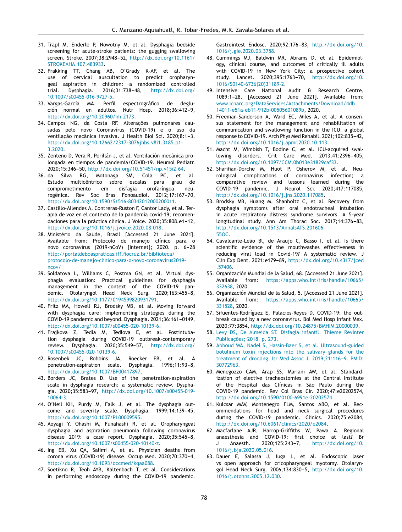- <span id="page-15-0"></span>31. Trapl M, Enderle P, Nowotny M, et al. Dysphagia bedside screening for acute-stroke patients: the gugging swallowing screen. Stroke. 2007;38:2948-52, [http://dx.doi.org/10.1161/](dx.doi.org/10.1161/STROKEAHA.107.483933) [STROKEAHA.107.483933](dx.doi.org/10.1161/STROKEAHA.107.483933).
- 32. Frakking TT, Chang AB, O'Grady K-AF, et al. The use of cervical auscultation to predict oropharyngeal aspiration in children: a randomized controlled trial. Dysphagia.  $2016;31:738-48$ , [http://dx.doi.org/](dx.doi.org/10.1007/s00455-016-9727-5) [10.1007/s00455-016-9727-5](dx.doi.org/10.1007/s00455-016-9727-5).
- 33. Vargas-García MA. Perfil espectrográfico de deglución normal en adultos. Nutr Hosp. 2018:36:412-9, [http://dx.doi.org/10.20960/nh.2173.](dx.doi.org/10.20960/nh.2173)
- 34. Campos NG, da Costa RF. Alterações pulmonares causadas pelo novo Coronavírus (COVID-19) e o uso da ventilação mecânica invasiva. J Health Biol Sci. 2020:8:1-3, [http://dx.doi.org/10.12662/2317-3076jhbs.v8i1.3185.p1-](dx.doi.org/10.12662/2317-3076jhbs.v8i1.3185.p1-3.2020) [3.2020.](dx.doi.org/10.12662/2317-3076jhbs.v8i1.3185.p1-3.2020)
- 35. Zenteno D, Vera R, Perillán J, et al. Ventilación mecánica prolongada en tiempos de pandemia/COVID-19. Neumol Pediatr. 2020;15:346-50, [http://dx.doi.org/10.51451/np.v15i2.64](dx.doi.org/10.51451/np.v15i2.64).
- 36. da Silva RG, Motonaga SM, Cola PC, et al. Estudo multicêntrico sobre escalas para grau de comprometimento em disfagia orofaríngea neurogênica. Rev Soc Bras Fonoaudiol. 2012;17:167-70, [http://dx.doi.org/10.1590/S1516-80342012000200011.](dx.doi.org/10.1590/S1516-80342012000200011)
- 37. Castillo-Allendes A, Contreras-Ruston F, Cantor Lady, et al. Terapia de voz en el contexto de la pandemia covid-19; recomendaciones para la práctica clínica. J Voice. 2020;35:808.e1-12, [http://dx.doi.org/10.1016/j.jvoice.2020.08.018](dx.doi.org/10.1016/j.jvoice.2020.08.018).
- 38. Ministério da Saúde, Brasil [Accessed 21 June 2021]. Available from: Protocolo de manejo clínico para o novo coronavírus (2019-nCoV) [Internet]; 2020. p. 6-28 [http://portaldeboaspraticas.iff.fiocruz.br/biblioteca/](http://portaldeboaspraticas.iff.fiocruz.br/biblioteca/protocolo-de-manejo-clinico-para-o-novo-coronavirus2019-ncov/) [protocolo-de-manejo-clinico-para-o-novo-coronavirus2019](http://portaldeboaspraticas.iff.fiocruz.br/biblioteca/protocolo-de-manejo-clinico-para-o-novo-coronavirus2019-ncov/) [ncov/](http://portaldeboaspraticas.iff.fiocruz.br/biblioteca/protocolo-de-manejo-clinico-para-o-novo-coronavirus2019-ncov/)
- 39. Soldatova L, Williams C, Postma GN, et al. Virtual dysphagia evaluation: Practical guidelines for dysphagia management in the context of the COVID-19 pandemic. Otolaryngol Head Neck Surg. 2020;163:455-8, [http://dx.doi.org/10.1177/0194599820931791](dx.doi.org/10.1177/0194599820931791).
- 40. Fritz MA, Howell RJ, Brodsky MB, et al. Moving forward with dysphagia care: implementing strategies during the COVID-19 pandemic and beyond. Dysphagia. 2021;36:161-0149, [http://dx.doi.org/10.1007/s00455-020-10139-6.](dx.doi.org/10.1007/s00455-020-10139-6)
- 41. Frajkova Z, Tedla M, Tedlova E, et al. Postintubation dysphagia during COVID-19 outbreak-contemporary review. Dysphagia. 2020;35:549-57, [http://dx.doi.org/](dx.doi.org/10.1007/s00455-020-10139-6) [10.1007/s00455-020-10139-6.](dx.doi.org/10.1007/s00455-020-10139-6)
- 42. Rosenbek JC, Robbins JA, Roecker EB, et al. A penetration-aspiration scale. Dysphagia. 1996;11:93-8, [http://dx.doi.org/10.1007/BF00417897](dx.doi.org/10.1007/BF00417897).
- 43. Borders JC, Brates D. Use of the penetration-aspiration scale in dysphagia research: a systematic review. Dysphagia. 2020;35:583-97, [http://dx.doi.org/10.1007/s00455-019-](dx.doi.org/10.1007/s00455-019-10064-3) [10064-3.](dx.doi.org/10.1007/s00455-019-10064-3)
- 44. O'Neil KH, Purdy M, Falk J, et al. The dysphagia outcome and severity scale. Dysphagia. 1999;14:139-45, [http://dx.doi.org/10.1007/PL00009595](dx.doi.org/10.1007/PL00009595).
- 45. Aoyagi Y, Ohashi M, Funahashi R, et al. Oropharyngeal dysphagia and aspiration pneumonia following coronavirus disease 2019: a case report. Dysphagia. 2020;35:545-8, [http://dx.doi.org/10.1007/s00455-020-10140-z](dx.doi.org/10.1007/s00455-020-10140-z).
- 46. Ing EB, Xu QA, Salimi A, et al. Physician deaths from corona virus (COVID-19) disease. Occup Med. 2020;70:370-4, [http://dx.doi.org/10.1093/occmed/kqaa088](dx.doi.org/10.1093/occmed/kqaa088).
- 47. Soetikno R, Teoh AYB, Kaltenbach T, et al. Considerations in performing endoscopy during the COVID-19 pandemic.

Gastrointest Endosc. 2020:92:176-83, [http://dx.doi.org/10.](dx.doi.org/10.1016/j.gie.2020.03.3758) [1016/j.gie.2020.03.3758.](dx.doi.org/10.1016/j.gie.2020.03.3758)

- 48. Cummings MJ, Baldwin MR, Abrams D, et al. Epidemiology, clinical course, and outcomes of critically ill adults with COVID-19 in New York City: a prospective cohort study. Lancet. 2020;395:1763-70, [http://dx.doi.org/10.](dx.doi.org/10.1016/S0140-6736(20)31189-2) [1016/S0140-6736\(20\)31189-2](dx.doi.org/10.1016/S0140-6736(20)31189-2).
- 49. Intensive Care National Audit & Research Centre, 1089:1-28. [Accessed 21 June 2021]. Available from: [www.icnarc.org/DataServices/Attachments/Download/4db](http://www.icnarc.org/DataServices/Attachments/Download/4db14011-e51a-eb11-912b-00505601089b) [14011-e51a-eb11-912b-00505601089b,](http://www.icnarc.org/DataServices/Attachments/Download/4db14011-e51a-eb11-912b-00505601089b) 2020.
- 50. Freeman-Sanderson A, Ward EC, Miles A, et al. A consensus statement for the management and rehabilitation of communication and swallowing function in the ICU: a global response to COVID-19. Arch Phys Med Rehabil. 2021;102:835-42, [http://dx.doi.org/10.1016/j.apmr.2020.10.113.](dx.doi.org/10.1016/j.apmr.2020.10.113)
- 51. Macht M, Wimbish T, Bodine C, et al. ICU-acquired swallowing disorders. Crit Care Med. 2013;41:2396-405, [http://dx.doi.org/10.1097/CCM.0b013e31829caf33](dx.doi.org/10.1097/CCM.0b013e31829caf33).
- 52. Sharifian-Dorche M, Huot P, Osherov M, et al. Neurological complications of coronavirus infection; a comparative review and lessons learned during the COVID-19 pandemic. J Neurol Sci. 2020;417:117085, [http://dx.doi.org/10.1016/j.jns.2020.117085](dx.doi.org/10.1016/j.jns.2020.117085).
- 53. Brodsky MB, Huang M, Shanholtz C, et al. Recovery from dysphagia symptoms after oral endotracheal intubation in acute respiratory distress syndrome survivors. A 5-year longitudinal study. Ann Am Thorac Soc. 2017;14:376-83, [http://dx.doi.org/10.1513/AnnalsATS.201606-](dx.doi.org/10.1513/AnnalsATS.201606-455OC) [55OC](dx.doi.org/10.1513/AnnalsATS.201606-455OC).
- 54. Cavalcante-Leão Bl, de Araujo C, Basso I, et al. Is there scientific evidence of the mouthwashes effectiveness in reducing viral load in Covid-19? A systematic review. J Clin Exp Dent. 2021:e179-89, [http://dx.doi.org/10.4317/jced](dx.doi.org/10.4317/jced.57406) [.57406.](dx.doi.org/10.4317/jced.57406)
- 55. Organización Mundial de la Salud, 68. [Accessed 21 June 2021]. Available from: [https://apps.who.int/iris/handle/10665/](https://apps.who.int/iris/handle/10665/332638) [332638](https://apps.who.int/iris/handle/10665/332638), 2020.
- 56. Organización Mundial de la Salud, 5. [Accessed 21 June 2021]. Available from: [https://apps.who.int/iris/handle/10665/](https://apps.who.int/iris/handle/10665/331528) [331528](https://apps.who.int/iris/handle/10665/331528), 2020.
- 57. Sifuentes-Rodríguez E, Palacios-Reyes D. COVID-19: the outbreak caused by a new coronavirus. Bol Med Hosp Infant Mex. 2020;77:3854, [http://dx.doi.org/10.24875/BMHIM.20000039](dx.doi.org/10.24875/BMHIM.20000039).
- 58. [Levy](http://refhub.elsevier.com/S2255-534X(21)00139-0/sbref0285) [DS,](http://refhub.elsevier.com/S2255-534X(21)00139-0/sbref0285) [De](http://refhub.elsevier.com/S2255-534X(21)00139-0/sbref0285) [Almeida](http://refhub.elsevier.com/S2255-534X(21)00139-0/sbref0285) [ST.](http://refhub.elsevier.com/S2255-534X(21)00139-0/sbref0285) [Disfagia](http://refhub.elsevier.com/S2255-534X(21)00139-0/sbref0285) [infantil.](http://refhub.elsevier.com/S2255-534X(21)00139-0/sbref0285) [Thieme](http://refhub.elsevier.com/S2255-534X(21)00139-0/sbref0285) [Revinter](http://refhub.elsevier.com/S2255-534X(21)00139-0/sbref0285) [Publicac¸ões;](http://refhub.elsevier.com/S2255-534X(21)00139-0/sbref0285) [2018.](http://refhub.elsevier.com/S2255-534X(21)00139-0/sbref0285) [p.](http://refhub.elsevier.com/S2255-534X(21)00139-0/sbref0285) [273.](http://refhub.elsevier.com/S2255-534X(21)00139-0/sbref0285)
- 59. [Abboud](http://refhub.elsevier.com/S2255-534X(21)00139-0/sbref0290) [WA,](http://refhub.elsevier.com/S2255-534X(21)00139-0/sbref0290) [Nadel](http://refhub.elsevier.com/S2255-534X(21)00139-0/sbref0290) [S,](http://refhub.elsevier.com/S2255-534X(21)00139-0/sbref0290) [Hassin-Baer](http://refhub.elsevier.com/S2255-534X(21)00139-0/sbref0290) [S,](http://refhub.elsevier.com/S2255-534X(21)00139-0/sbref0290) [et](http://refhub.elsevier.com/S2255-534X(21)00139-0/sbref0290) [al.](http://refhub.elsevier.com/S2255-534X(21)00139-0/sbref0290) [Ultrasound-guided](http://refhub.elsevier.com/S2255-534X(21)00139-0/sbref0290) [botulinum](http://refhub.elsevier.com/S2255-534X(21)00139-0/sbref0290) [toxin](http://refhub.elsevier.com/S2255-534X(21)00139-0/sbref0290) [injections](http://refhub.elsevier.com/S2255-534X(21)00139-0/sbref0290) [into](http://refhub.elsevier.com/S2255-534X(21)00139-0/sbref0290) [the](http://refhub.elsevier.com/S2255-534X(21)00139-0/sbref0290) [salivary](http://refhub.elsevier.com/S2255-534X(21)00139-0/sbref0290) [glands](http://refhub.elsevier.com/S2255-534X(21)00139-0/sbref0290) [for](http://refhub.elsevier.com/S2255-534X(21)00139-0/sbref0290) [the](http://refhub.elsevier.com/S2255-534X(21)00139-0/sbref0290) [treatment](http://refhub.elsevier.com/S2255-534X(21)00139-0/sbref0290) [of](http://refhub.elsevier.com/S2255-534X(21)00139-0/sbref0290) [drooling.](http://refhub.elsevier.com/S2255-534X(21)00139-0/sbref0290) [Isr](http://refhub.elsevier.com/S2255-534X(21)00139-0/sbref0290) [Med](http://refhub.elsevier.com/S2255-534X(21)00139-0/sbref0290) [Assoc](http://refhub.elsevier.com/S2255-534X(21)00139-0/sbref0290) [J.](http://refhub.elsevier.com/S2255-534X(21)00139-0/sbref0290) 2019;21:116-9. [PMID:](http://refhub.elsevier.com/S2255-534X(21)00139-0/sbref0290) [30772963.](http://refhub.elsevier.com/S2255-534X(21)00139-0/sbref0290)
- 60. Menegozzo CAM, Arap SS, Mariani AW, et al. Standardization of elective tracheostomies at the Central Institute of the Hospital das Clínicas in São Paulo during the COVID-19 pandemic. Rev Col Bras Cir. 2020;47:e20202574, [http://dx.doi.org/10.1590/0100-6991e-20202574](dx.doi.org/10.1590/0100-6991e-20202574).
- 61. Kulcsar MAV, Montenegro FLM, Santos ABO, et al. Recommendations for head and neck surgical procedures during the COVID-19 pandemic. Clinics. 2020;75:e2084, [http://dx.doi.org/10.6061/clinics/2020/e2084.](dx.doi.org/10.6061/clinics/2020/e2084)
- 62. Macfarlane AJR, Harrop-Griffiths W, Pawa A. Regional anaesthesia and COVID-19: first choice at last? Br J Anaesth. 2020;125:243-7, [http://dx.doi.org/10.](dx.doi.org/10.1016/j.bja.2020.05.016) [1016/j.bja.2020.05.016.](dx.doi.org/10.1016/j.bja.2020.05.016)
- 63. Dauer E, Salassa J, Iuga L, et al. Endoscopic laser vs open approach for cricopharyngeal myotomy. Otolaryngol Head Neck Surg. 2006;134:830-5, [http://dx.doi.org/10.](dx.doi.org/10.1016/j.otohns.2005.12.030) [1016/j.otohns.2005.12.030.](dx.doi.org/10.1016/j.otohns.2005.12.030)